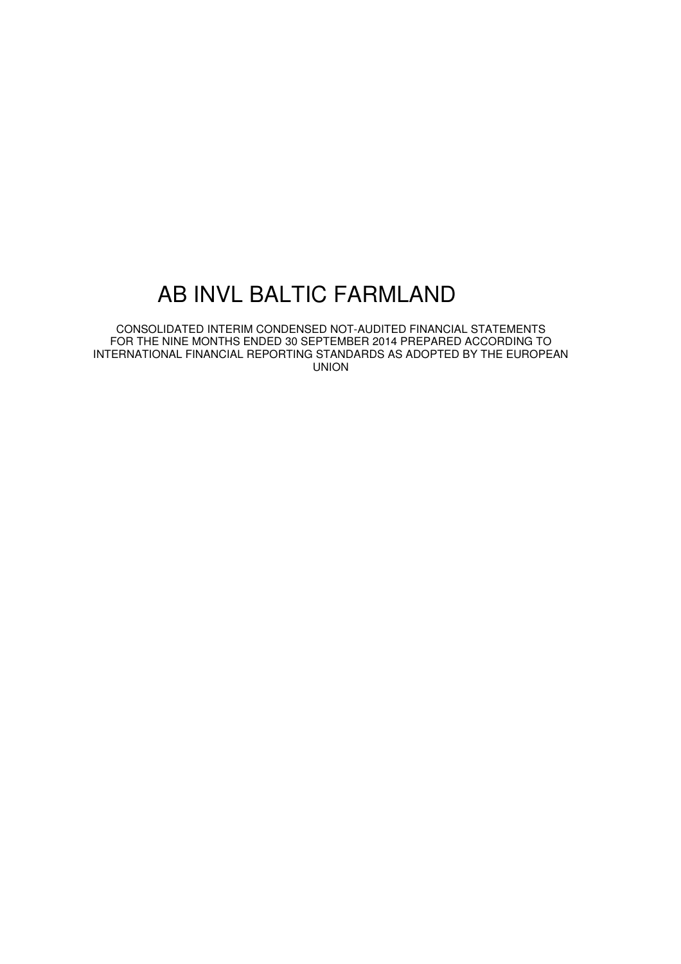CONSOLIDATED INTERIM CONDENSED NOT-AUDITED FINANCIAL STATEMENTS FOR THE NINE MONTHS ENDED 30 SEPTEMBER 2014 PREPARED ACCORDING TO INTERNATIONAL FINANCIAL REPORTING STANDARDS AS ADOPTED BY THE EUROPEAN UNION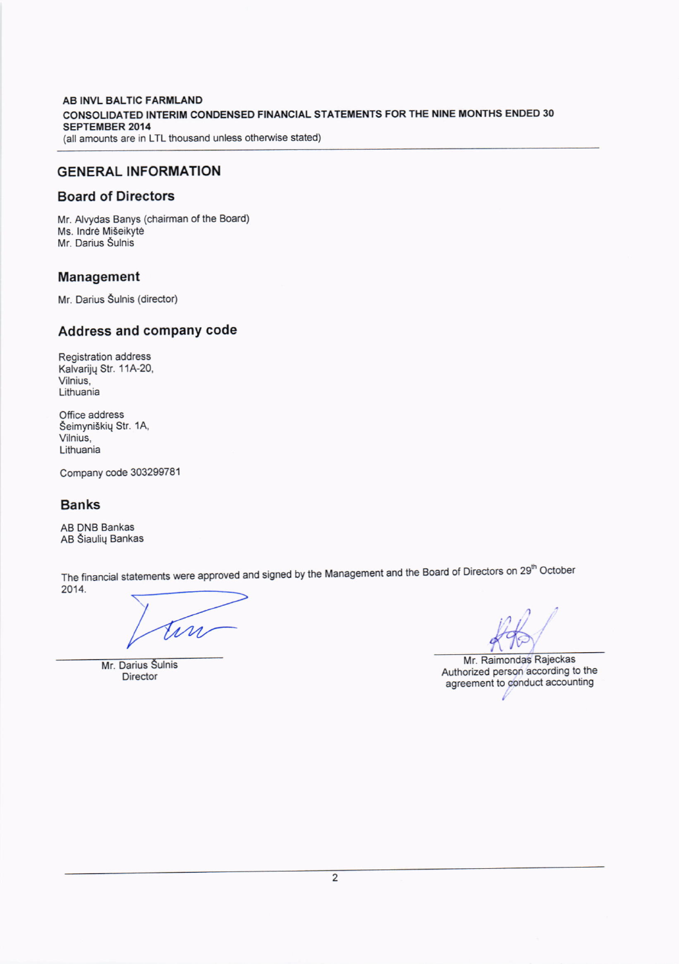AB INVL BALTIC FARMLAND CONSOLIDATED INTERIM CONDENSED FINANCIAL STATEMENTS FOR THE NINE MONTHS ENDED 30 SEPTEMBER 2014 (all amounts are in LTL thousand unless otherwise stated)

# GENERAL INFORMATION

# Board of Directors

Mr. Alvydas Banys (chairman of the Board) Ms. lndre Miseikyte Mr. Darius Šulnis

# Management

Mr. Darius Šulnis (director)

# Address and company code

**Registration address** Kalvarijų Str. 11A-20, Vilnius, Lithuania

Office address Šeimyniškių Str. 1A, Vilnius, Lithuania

Company code 303299781

# Banks

AB DNB Bankas AB Siauliq Bankas

The financial statements were approved and signed by the Management and the Board of Directors on 29<sup>th</sup> October 2014.

Tin

Mr. Darius Šulnis Director

't' i1 t/ **KFF**<br>Mr. Raimondas Rajeckas

Authorized person according to the agreement to conduct accounting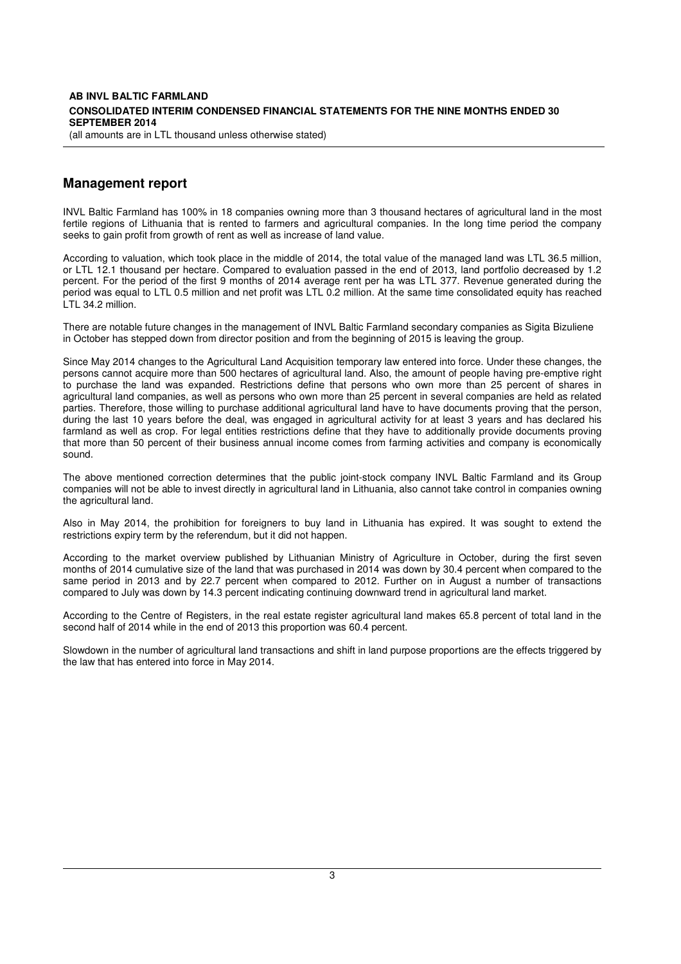# **AB INVL BALTIC FARMLAND CONSOLIDATED INTERIM CONDENSED FINANCIAL STATEMENTS FOR THE NINE MONTHS ENDED 30 SEPTEMBER 2014**  (all amounts are in LTL thousand unless otherwise stated)

# **Management report**

INVL Baltic Farmland has 100% in 18 companies owning more than 3 thousand hectares of agricultural land in the most fertile regions of Lithuania that is rented to farmers and agricultural companies. In the long time period the company seeks to gain profit from growth of rent as well as increase of land value.

According to valuation, which took place in the middle of 2014, the total value of the managed land was LTL 36.5 million, or LTL 12.1 thousand per hectare. Compared to evaluation passed in the end of 2013, land portfolio decreased by 1.2 percent. For the period of the first 9 months of 2014 average rent per ha was LTL 377. Revenue generated during the period was equal to LTL 0.5 million and net profit was LTL 0.2 million. At the same time consolidated equity has reached LTL 34.2 million.

There are notable future changes in the management of INVL Baltic Farmland secondary companies as Sigita Bizuliene in October has stepped down from director position and from the beginning of 2015 is leaving the group.

Since May 2014 changes to the Agricultural Land Acquisition temporary law entered into force. Under these changes, the persons cannot acquire more than 500 hectares of agricultural land. Also, the amount of people having pre-emptive right to purchase the land was expanded. Restrictions define that persons who own more than 25 percent of shares in agricultural land companies, as well as persons who own more than 25 percent in several companies are held as related parties. Therefore, those willing to purchase additional agricultural land have to have documents proving that the person, during the last 10 years before the deal, was engaged in agricultural activity for at least 3 years and has declared his farmland as well as crop. For legal entities restrictions define that they have to additionally provide documents proving that more than 50 percent of their business annual income comes from farming activities and company is economically sound.

The above mentioned correction determines that the public joint-stock company INVL Baltic Farmland and its Group companies will not be able to invest directly in agricultural land in Lithuania, also cannot take control in companies owning the agricultural land.

Also in May 2014, the prohibition for foreigners to buy land in Lithuania has expired. It was sought to extend the restrictions expiry term by the referendum, but it did not happen.

According to the market overview published by Lithuanian Ministry of Agriculture in October, during the first seven months of 2014 cumulative size of the land that was purchased in 2014 was down by 30.4 percent when compared to the same period in 2013 and by 22.7 percent when compared to 2012. Further on in August a number of transactions compared to July was down by 14.3 percent indicating continuing downward trend in agricultural land market.

According to the Centre of Registers, in the real estate register agricultural land makes 65.8 percent of total land in the second half of 2014 while in the end of 2013 this proportion was 60.4 percent.

Slowdown in the number of agricultural land transactions and shift in land purpose proportions are the effects triggered by the law that has entered into force in May 2014.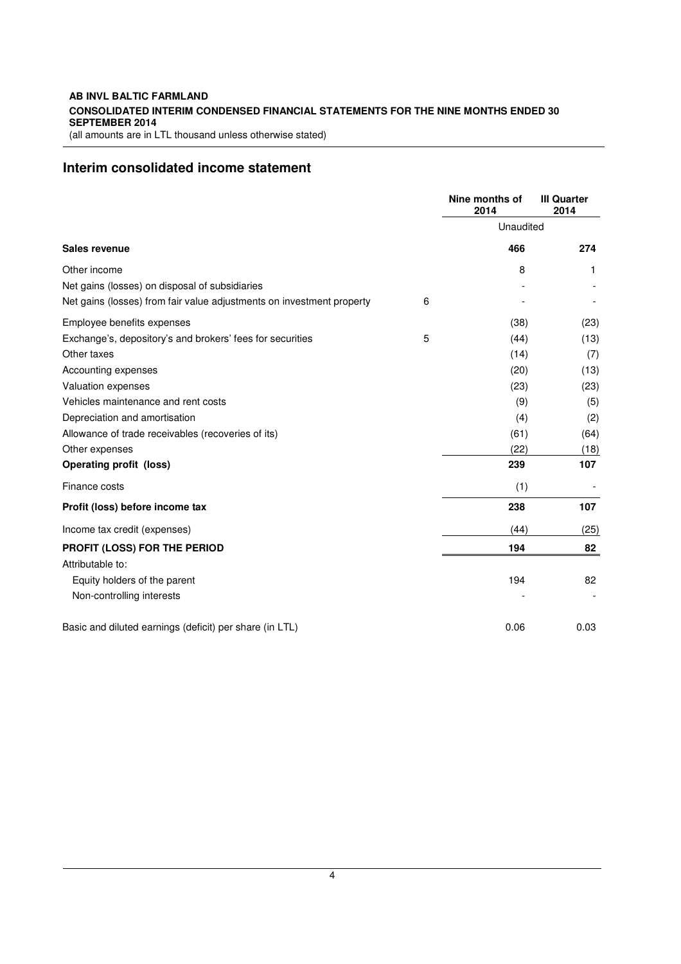# **AB INVL BALTIC FARMLAND CONSOLIDATED INTERIM CONDENSED FINANCIAL STATEMENTS FOR THE NINE MONTHS ENDED 30 SEPTEMBER 2014**

(all amounts are in LTL thousand unless otherwise stated)

# **Interim consolidated income statement**

|                                                                       |   | Nine months of<br>2014 | <b>III Quarter</b><br>2014 |
|-----------------------------------------------------------------------|---|------------------------|----------------------------|
|                                                                       |   | Unaudited              |                            |
| Sales revenue                                                         |   | 466                    | 274                        |
| Other income                                                          |   | 8                      | 1                          |
| Net gains (losses) on disposal of subsidiaries                        |   |                        |                            |
| Net gains (losses) from fair value adjustments on investment property | 6 |                        |                            |
| Employee benefits expenses                                            |   | (38)                   | (23)                       |
| Exchange's, depository's and brokers' fees for securities             | 5 | (44)                   | (13)                       |
| Other taxes                                                           |   | (14)                   | (7)                        |
| Accounting expenses                                                   |   | (20)                   | (13)                       |
| Valuation expenses                                                    |   | (23)                   | (23)                       |
| Vehicles maintenance and rent costs                                   |   | (9)                    | (5)                        |
| Depreciation and amortisation                                         |   | (4)                    | (2)                        |
| Allowance of trade receivables (recoveries of its)                    |   | (61)                   | (64)                       |
| Other expenses                                                        |   | (22)                   | (18)                       |
| <b>Operating profit (loss)</b>                                        |   | 239                    | 107                        |
| Finance costs                                                         |   | (1)                    |                            |
| Profit (loss) before income tax                                       |   | 238                    | 107                        |
| Income tax credit (expenses)                                          |   | (44)                   | (25)                       |
| PROFIT (LOSS) FOR THE PERIOD                                          |   | 194                    | 82                         |
| Attributable to:                                                      |   |                        |                            |
| Equity holders of the parent                                          |   | 194                    | 82                         |
| Non-controlling interests                                             |   |                        |                            |
| Basic and diluted earnings (deficit) per share (in LTL)               |   | 0.06                   | 0.03                       |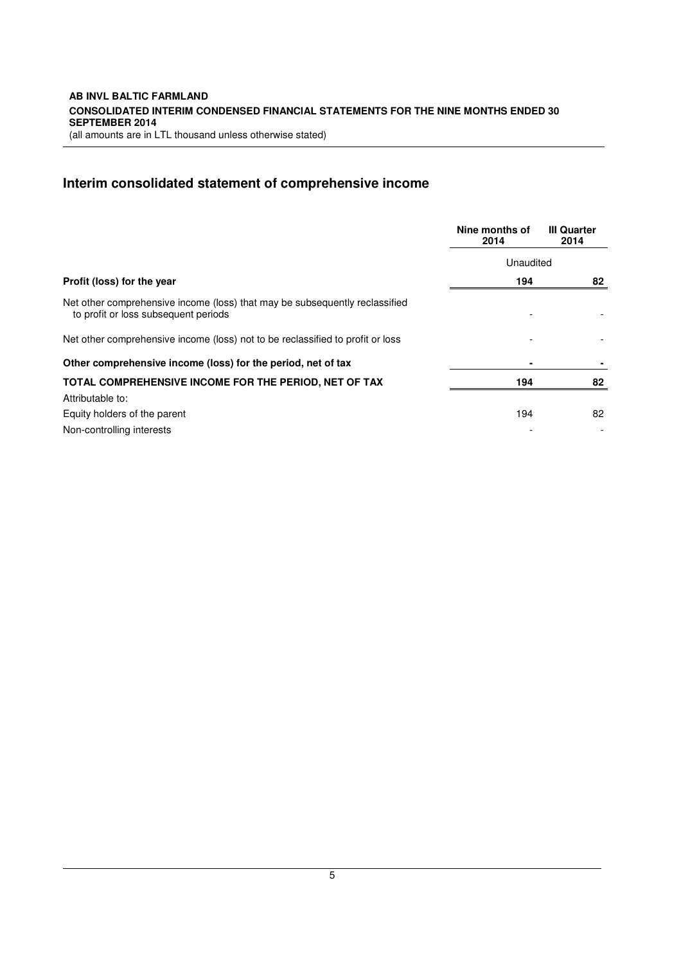# **Interim consolidated statement of comprehensive income**

|                                                                                                                     | Nine months of<br>2014 | <b>III Quarter</b><br>2014 |
|---------------------------------------------------------------------------------------------------------------------|------------------------|----------------------------|
|                                                                                                                     | Unaudited              |                            |
| Profit (loss) for the year                                                                                          | 194                    | 82                         |
| Net other comprehensive income (loss) that may be subsequently reclassified<br>to profit or loss subsequent periods |                        |                            |
| Net other comprehensive income (loss) not to be reclassified to profit or loss                                      |                        |                            |
| Other comprehensive income (loss) for the period, net of tax                                                        |                        |                            |
| TOTAL COMPREHENSIVE INCOME FOR THE PERIOD, NET OF TAX                                                               | 194                    | 82                         |
| Attributable to:                                                                                                    |                        |                            |
| Equity holders of the parent                                                                                        | 194                    | 82                         |
| Non-controlling interests                                                                                           |                        |                            |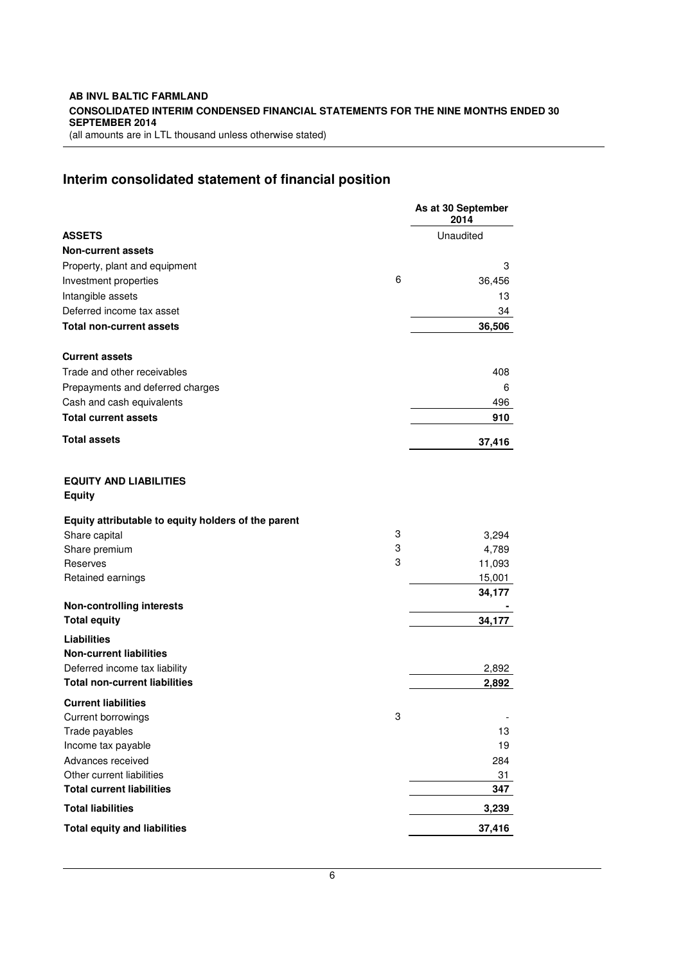# **Interim consolidated statement of financial position**

|                                                      |   | As at 30 September<br>2014 |
|------------------------------------------------------|---|----------------------------|
| <b>ASSETS</b>                                        |   | Unaudited                  |
| <b>Non-current assets</b>                            |   |                            |
| Property, plant and equipment                        |   | 3                          |
| Investment properties                                | 6 | 36,456                     |
| Intangible assets                                    |   | 13                         |
| Deferred income tax asset                            |   | 34                         |
| <b>Total non-current assets</b>                      |   | 36,506                     |
| <b>Current assets</b>                                |   |                            |
| Trade and other receivables                          |   | 408                        |
| Prepayments and deferred charges                     |   | 6                          |
| Cash and cash equivalents                            |   | 496                        |
| <b>Total current assets</b>                          |   | 910                        |
| <b>Total assets</b>                                  |   | 37,416                     |
| <b>EQUITY AND LIABILITIES</b><br><b>Equity</b>       |   |                            |
| Equity attributable to equity holders of the parent  |   |                            |
| Share capital                                        | 3 | 3,294                      |
| Share premium                                        | 3 | 4,789                      |
| Reserves                                             | 3 | 11,093                     |
| Retained earnings                                    |   | 15,001                     |
| <b>Non-controlling interests</b>                     |   | 34,177                     |
| <b>Total equity</b>                                  |   | 34,177                     |
| <b>Liabilities</b><br><b>Non-current liabilities</b> |   |                            |
| Deferred income tax liability                        |   | 2,892                      |
| <b>Total non-current liabilities</b>                 |   | 2,892                      |
| <b>Current liabilities</b>                           |   |                            |
| <b>Current borrowings</b>                            | 3 | $\overline{\phantom{a}}$   |
| Trade payables                                       |   | 13                         |
| Income tax payable<br>Advances received              |   | 19<br>284                  |
| Other current liabilities                            |   | 31                         |
| <b>Total current liabilities</b>                     |   | 347                        |
| <b>Total liabilities</b>                             |   | 3,239                      |
| <b>Total equity and liabilities</b>                  |   | 37,416                     |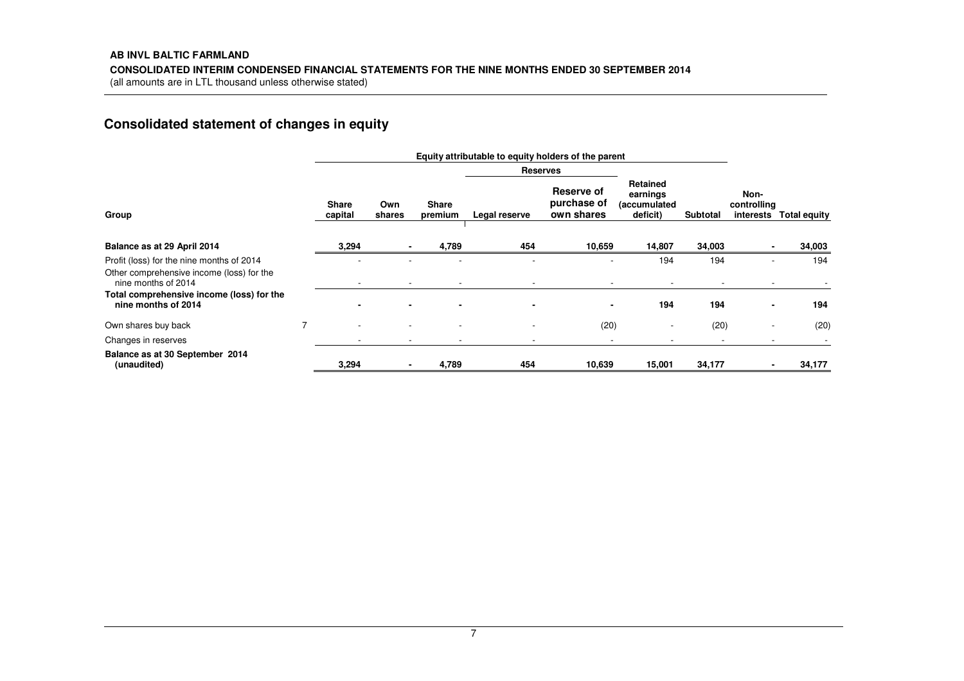# **Consolidated statement of changes in equity**

|                                                                  |                         |                          |                          | Equity attributable to equity holders of the parent |                                         |                                                  |                          |                     |                        |
|------------------------------------------------------------------|-------------------------|--------------------------|--------------------------|-----------------------------------------------------|-----------------------------------------|--------------------------------------------------|--------------------------|---------------------|------------------------|
|                                                                  |                         | <b>Reserves</b>          |                          |                                                     |                                         |                                                  |                          |                     |                        |
| Group                                                            | <b>Share</b><br>capital | Own<br>shares            | <b>Share</b><br>premium  | Legal reserve                                       | Reserve of<br>purchase of<br>own shares | Retained<br>earnings<br>(accumulated<br>deficit) | <b>Subtotal</b>          | Non-<br>controlling | interests Total equity |
| Balance as at 29 April 2014                                      | 3,294                   |                          | 4,789                    | 454                                                 | 10,659                                  | 14,807                                           | 34,003                   | $\blacksquare$      | 34,003                 |
| Profit (loss) for the nine months of 2014                        |                         |                          |                          |                                                     |                                         | 194                                              | 194                      |                     | 194                    |
| Other comprehensive income (loss) for the<br>nine months of 2014 | ٠                       | $\overline{\phantom{a}}$ | $\overline{\phantom{a}}$ |                                                     |                                         | ۰                                                | $\overline{\phantom{a}}$ |                     |                        |
| Total comprehensive income (loss) for the<br>nine months of 2014 |                         |                          |                          |                                                     |                                         | 194                                              | 194                      | $\blacksquare$      | 194                    |
| Own shares buy back                                              |                         |                          | $\overline{\phantom{a}}$ |                                                     | (20)                                    | ٠                                                | (20)                     |                     | (20)                   |
| Changes in reserves                                              |                         |                          |                          |                                                     |                                         |                                                  |                          |                     |                        |
| Balance as at 30 September 2014<br>(unaudited)                   | 3,294                   |                          | 4,789                    | 454                                                 | 10,639                                  | 15,001                                           | 34,177                   |                     | 34,177                 |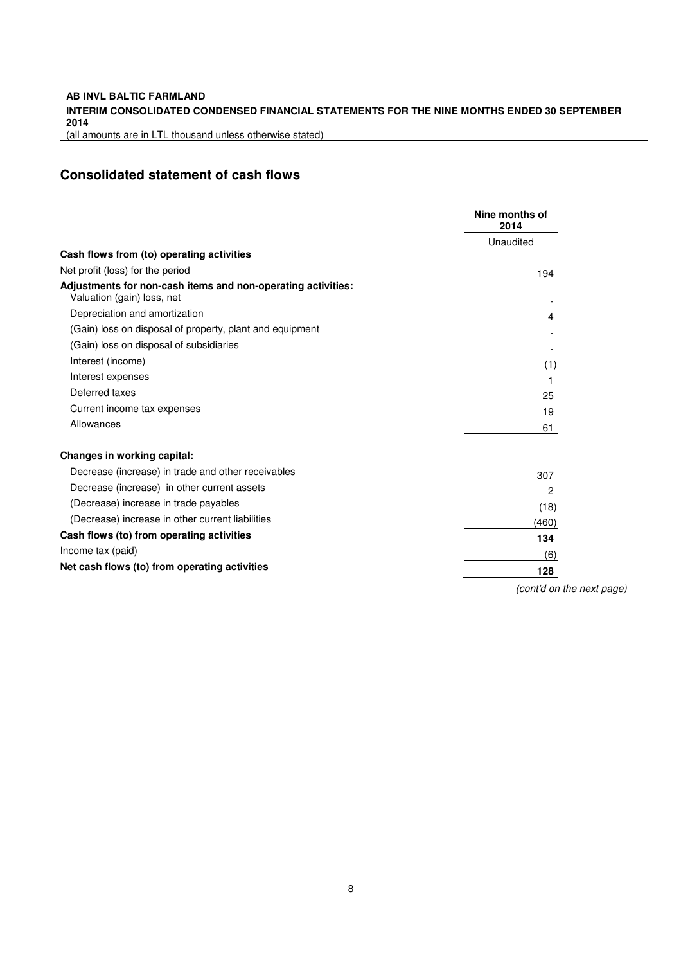# **AB INVL BALTIC FARMLAND INTERIM CONSOLIDATED CONDENSED FINANCIAL STATEMENTS FOR THE NINE MONTHS ENDED 30 SEPTEMBER 2014**

(all amounts are in LTL thousand unless otherwise stated)

# **Consolidated statement of cash flows**

|                                                                                            | Nine months of<br>2014 |
|--------------------------------------------------------------------------------------------|------------------------|
|                                                                                            | Unaudited              |
| Cash flows from (to) operating activities                                                  |                        |
| Net profit (loss) for the period                                                           | 194                    |
| Adjustments for non-cash items and non-operating activities:<br>Valuation (gain) loss, net |                        |
| Depreciation and amortization                                                              | 4                      |
| (Gain) loss on disposal of property, plant and equipment                                   |                        |
| (Gain) loss on disposal of subsidiaries                                                    |                        |
| Interest (income)                                                                          | (1)                    |
| Interest expenses                                                                          | 1                      |
| Deferred taxes                                                                             | 25                     |
| Current income tax expenses                                                                | 19                     |
| Allowances                                                                                 | 61                     |
| Changes in working capital:                                                                |                        |
| Decrease (increase) in trade and other receivables                                         | 307                    |
| Decrease (increase) in other current assets                                                | 2                      |
| (Decrease) increase in trade payables                                                      | (18)                   |
| (Decrease) increase in other current liabilities                                           | (460)                  |
| Cash flows (to) from operating activities                                                  | 134                    |
| Income tax (paid)                                                                          | (6)                    |
| Net cash flows (to) from operating activities                                              | 128                    |
|                                                                                            | $\epsilon$ $\epsilon$  |

(cont'd on the next page)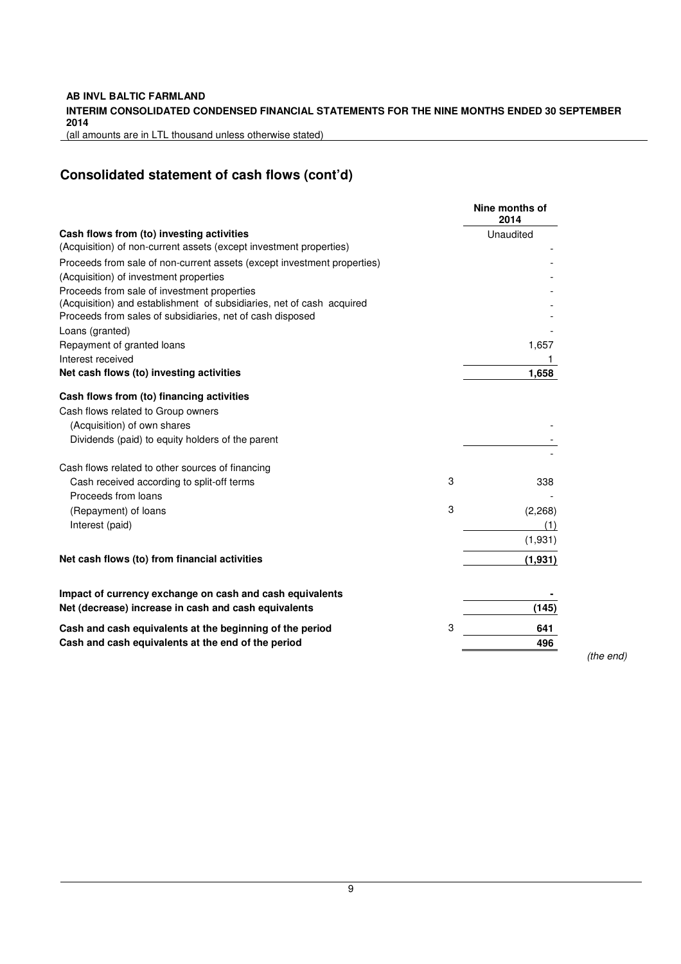# **INTERIM CONSOLIDATED CONDENSED FINANCIAL STATEMENTS FOR THE NINE MONTHS ENDED 30 SEPTEMBER 2014**

(all amounts are in LTL thousand unless otherwise stated)

# **Consolidated statement of cash flows (cont'd)**

|                                                                                                                  |   | Nine months of<br>2014 |
|------------------------------------------------------------------------------------------------------------------|---|------------------------|
| Cash flows from (to) investing activities<br>(Acquisition) of non-current assets (except investment properties)  |   | Unaudited              |
| Proceeds from sale of non-current assets (except investment properties)                                          |   |                        |
| (Acquisition) of investment properties                                                                           |   |                        |
| Proceeds from sale of investment properties                                                                      |   |                        |
| (Acquisition) and establishment of subsidiaries, net of cash acquired                                            |   |                        |
| Proceeds from sales of subsidiaries, net of cash disposed                                                        |   |                        |
| Loans (granted)                                                                                                  |   |                        |
| Repayment of granted loans                                                                                       |   | 1,657                  |
| Interest received                                                                                                |   | 1.                     |
| Net cash flows (to) investing activities                                                                         |   | 1,658                  |
| Cash flows from (to) financing activities                                                                        |   |                        |
| Cash flows related to Group owners                                                                               |   |                        |
| (Acquisition) of own shares                                                                                      |   |                        |
| Dividends (paid) to equity holders of the parent                                                                 |   |                        |
| Cash flows related to other sources of financing                                                                 |   |                        |
| Cash received according to split-off terms                                                                       | 3 | 338                    |
| Proceeds from loans                                                                                              |   |                        |
| (Repayment) of loans                                                                                             | 3 | (2,268)                |
| Interest (paid)                                                                                                  |   | (1)                    |
|                                                                                                                  |   | (1,931)                |
| Net cash flows (to) from financial activities                                                                    |   | (1,931)                |
|                                                                                                                  |   |                        |
| Impact of currency exchange on cash and cash equivalents<br>Net (decrease) increase in cash and cash equivalents |   | (145)                  |
|                                                                                                                  |   |                        |
| Cash and cash equivalents at the beginning of the period                                                         | 3 | 641                    |
| Cash and cash equivalents at the end of the period                                                               |   | 496                    |

(the end)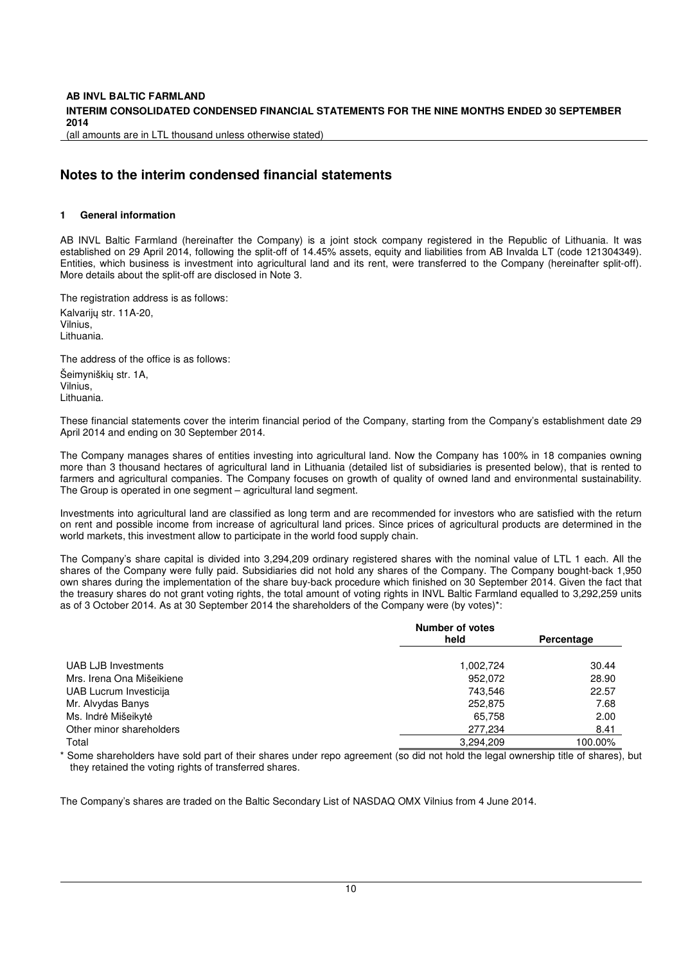# **AB INVL BALTIC FARMLAND INTERIM CONSOLIDATED CONDENSED FINANCIAL STATEMENTS FOR THE NINE MONTHS ENDED 30 SEPTEMBER 2014**

(all amounts are in LTL thousand unless otherwise stated)

# **Notes to the interim condensed financial statements**

# **1 General information**

AB INVL Baltic Farmland (hereinafter the Company) is a joint stock company registered in the Republic of Lithuania. It was established on 29 April 2014, following the split-off of 14.45% assets, equity and liabilities from AB Invalda LT (code 121304349). Entities, which business is investment into agricultural land and its rent, were transferred to the Company (hereinafter split-off). More details about the split-off are disclosed in Note 3.

The registration address is as follows:

Kalvarijų str. 11A-20, Vilnius, Lithuania.

The address of the office is as follows:

Šeimyniškių str. 1A, Vilnius, Lithuania.

These financial statements cover the interim financial period of the Company, starting from the Company's establishment date 29 April 2014 and ending on 30 September 2014.

The Company manages shares of entities investing into agricultural land. Now the Company has 100% in 18 companies owning more than 3 thousand hectares of agricultural land in Lithuania (detailed list of subsidiaries is presented below), that is rented to farmers and agricultural companies. The Company focuses on growth of quality of owned land and environmental sustainability. The Group is operated in one segment – agricultural land segment.

Investments into agricultural land are classified as long term and are recommended for investors who are satisfied with the return on rent and possible income from increase of agricultural land prices. Since prices of agricultural products are determined in the world markets, this investment allow to participate in the world food supply chain.

The Company's share capital is divided into 3,294,209 ordinary registered shares with the nominal value of LTL 1 each. All the shares of the Company were fully paid. Subsidiaries did not hold any shares of the Company. The Company bought-back 1,950 own shares during the implementation of the share buy-back procedure which finished on 30 September 2014. Given the fact that the treasury shares do not grant voting rights, the total amount of voting rights in INVL Baltic Farmland equalled to 3,292,259 units as of 3 October 2014. As at 30 September 2014 the shareholders of the Company were (by votes)\*:

|                           | <b>Number of votes</b> |            |
|---------------------------|------------------------|------------|
|                           | held                   | Percentage |
| UAB LJB Investments       | 1,002,724              | 30.44      |
| Mrs. Irena Ona Mišeikiene | 952,072                | 28.90      |
| UAB Lucrum Investicija    | 743.546                | 22.57      |
| Mr. Alvydas Banys         | 252,875                | 7.68       |
| Ms. Indrė Mišeikytė       | 65,758                 | 2.00       |
| Other minor shareholders  | 277,234                | 8.41       |
| Total                     | 3,294,209              | 100.00%    |

\* Some shareholders have sold part of their shares under repo agreement (so did not hold the legal ownership title of shares), but they retained the voting rights of transferred shares.

The Company's shares are traded on the Baltic Secondary List of NASDAQ OMX Vilnius from 4 June 2014.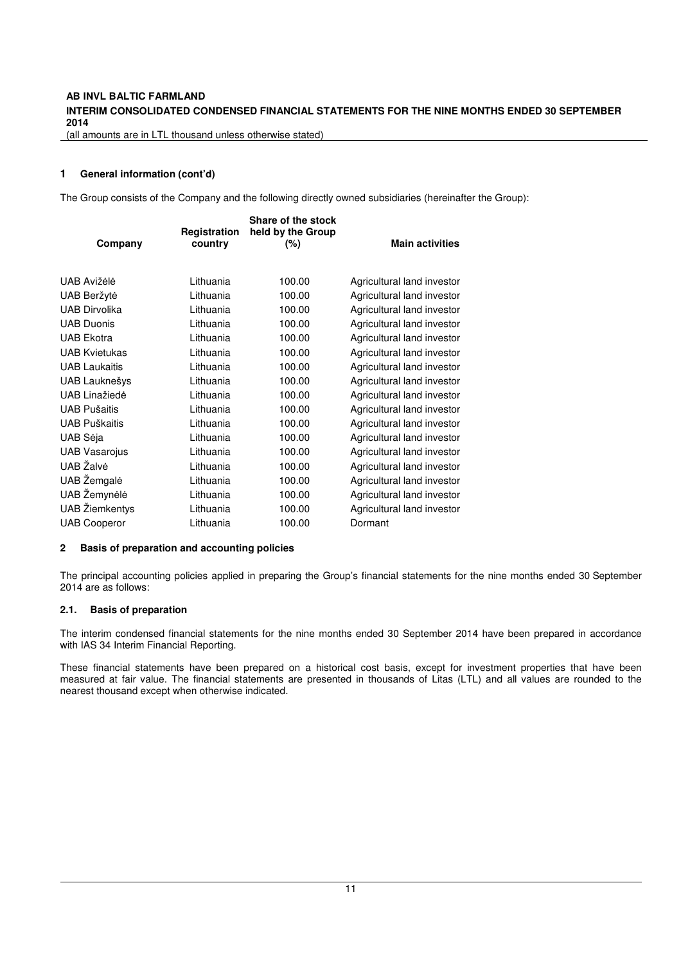# **AB INVL BALTIC FARMLAND INTERIM CONSOLIDATED CONDENSED FINANCIAL STATEMENTS FOR THE NINE MONTHS ENDED 30 SEPTEMBER 2014**

(all amounts are in LTL thousand unless otherwise stated)

# **1 General information (cont'd)**

The Group consists of the Company and the following directly owned subsidiaries (hereinafter the Group):

|                      | Registration | Share of the stock<br>held by the Group |                            |
|----------------------|--------------|-----------------------------------------|----------------------------|
| Company              | country      | $(\%)$                                  | <b>Main activities</b>     |
| UAB Avižėlė          | Lithuania    | 100.00                                  | Agricultural land investor |
| UAB Beržytė          | Lithuania    | 100.00                                  | Agricultural land investor |
| <b>UAB Dirvolika</b> | Lithuania    | 100.00                                  | Agricultural land investor |
| <b>UAB Duonis</b>    | Lithuania    | 100.00                                  | Agricultural land investor |
| <b>UAB Ekotra</b>    | Lithuania    | 100.00                                  | Agricultural land investor |
| <b>UAB Kvietukas</b> | Lithuania    | 100.00                                  | Agricultural land investor |
| <b>UAB Laukaitis</b> | Lithuania    | 100.00                                  | Agricultural land investor |
| UAB Lauknešys        | Lithuania    | 100.00                                  | Agricultural land investor |
| <b>UAB Linažiedė</b> | Lithuania    | 100.00                                  | Agricultural land investor |
| <b>UAB Pušaitis</b>  | Lithuania    | 100.00                                  | Agricultural land investor |
| <b>UAB Puškaitis</b> | Lithuania    | 100.00                                  | Agricultural land investor |
| UAB Sėja             | Lithuania    | 100.00                                  | Agricultural land investor |
| <b>UAB Vasarojus</b> | Lithuania    | 100.00                                  | Agricultural land investor |
| UAB Žalvė            | Lithuania    | 100.00                                  | Agricultural land investor |
| UAB Žemgalė          | Lithuania    | 100.00                                  | Agricultural land investor |
| UAB Žemynėlė         | Lithuania    | 100.00                                  | Agricultural land investor |
| UAB Žiemkentys       | Lithuania    | 100.00                                  | Agricultural land investor |
| <b>UAB Cooperor</b>  | Lithuania    | 100.00                                  | Dormant                    |

#### **2 Basis of preparation and accounting policies**

The principal accounting policies applied in preparing the Group's financial statements for the nine months ended 30 September 2014 are as follows:

#### **2.1. Basis of preparation**

The interim condensed financial statements for the nine months ended 30 September 2014 have been prepared in accordance with IAS 34 Interim Financial Reporting.

These financial statements have been prepared on a historical cost basis, except for investment properties that have been measured at fair value. The financial statements are presented in thousands of Litas (LTL) and all values are rounded to the nearest thousand except when otherwise indicated.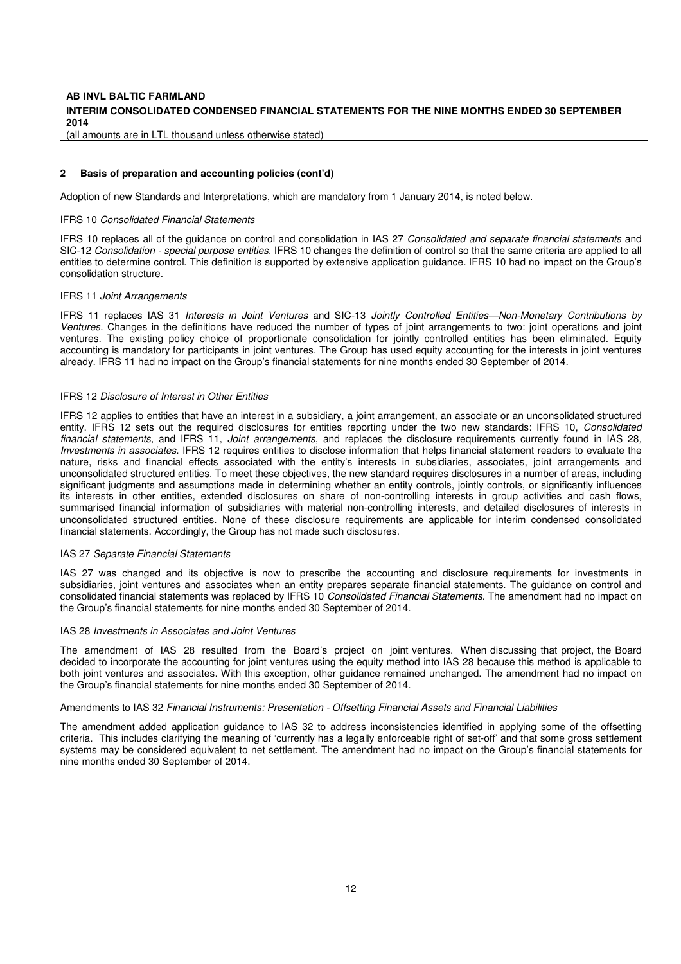# **INTERIM CONSOLIDATED CONDENSED FINANCIAL STATEMENTS FOR THE NINE MONTHS ENDED 30 SEPTEMBER 2014**

(all amounts are in LTL thousand unless otherwise stated)

#### **2 Basis of preparation and accounting policies (cont'd)**

Adoption of new Standards and Interpretations, which are mandatory from 1 January 2014, is noted below.

#### IFRS 10 Consolidated Financial Statements

IFRS 10 replaces all of the guidance on control and consolidation in IAS 27 Consolidated and separate financial statements and SIC-12 Consolidation - special purpose entities. IFRS 10 changes the definition of control so that the same criteria are applied to all entities to determine control. This definition is supported by extensive application guidance. IFRS 10 had no impact on the Group's consolidation structure.

#### IFRS 11 Joint Arrangements

IFRS 11 replaces IAS 31 Interests in Joint Ventures and SIC-13 Jointly Controlled Entities—Non-Monetary Contributions by Ventures. Changes in the definitions have reduced the number of types of joint arrangements to two: joint operations and joint ventures. The existing policy choice of proportionate consolidation for jointly controlled entities has been eliminated. Equity accounting is mandatory for participants in joint ventures. The Group has used equity accounting for the interests in joint ventures already. IFRS 11 had no impact on the Group's financial statements for nine months ended 30 September of 2014.

#### IFRS 12 Disclosure of Interest in Other Entities

IFRS 12 applies to entities that have an interest in a subsidiary, a joint arrangement, an associate or an unconsolidated structured entity. IFRS 12 sets out the required disclosures for entities reporting under the two new standards: IFRS 10, Consolidated financial statements, and IFRS 11, Joint arrangements, and replaces the disclosure requirements currently found in IAS 28, Investments in associates. IFRS 12 requires entities to disclose information that helps financial statement readers to evaluate the nature, risks and financial effects associated with the entity's interests in subsidiaries, associates, joint arrangements and unconsolidated structured entities. To meet these objectives, the new standard requires disclosures in a number of areas, including significant judgments and assumptions made in determining whether an entity controls, jointly controls, or significantly influences its interests in other entities, extended disclosures on share of non-controlling interests in group activities and cash flows, summarised financial information of subsidiaries with material non-controlling interests, and detailed disclosures of interests in unconsolidated structured entities. None of these disclosure requirements are applicable for interim condensed consolidated financial statements. Accordingly, the Group has not made such disclosures.

#### IAS 27 Separate Financial Statements

IAS 27 was changed and its objective is now to prescribe the accounting and disclosure requirements for investments in subsidiaries, joint ventures and associates when an entity prepares separate financial statements. The guidance on control and consolidated financial statements was replaced by IFRS 10 Consolidated Financial Statements. The amendment had no impact on the Group's financial statements for nine months ended 30 September of 2014.

#### IAS 28 Investments in Associates and Joint Ventures

The amendment of IAS 28 resulted from the Board's project on joint ventures. When discussing that project, the Board decided to incorporate the accounting for joint ventures using the equity method into IAS 28 because this method is applicable to both joint ventures and associates. With this exception, other guidance remained unchanged. The amendment had no impact on the Group's financial statements for nine months ended 30 September of 2014.

#### Amendments to IAS 32 Financial Instruments: Presentation - Offsetting Financial Assets and Financial Liabilities

The amendment added application guidance to IAS 32 to address inconsistencies identified in applying some of the offsetting criteria. This includes clarifying the meaning of 'currently has a legally enforceable right of set-off' and that some gross settlement systems may be considered equivalent to net settlement. The amendment had no impact on the Group's financial statements for nine months ended 30 September of 2014.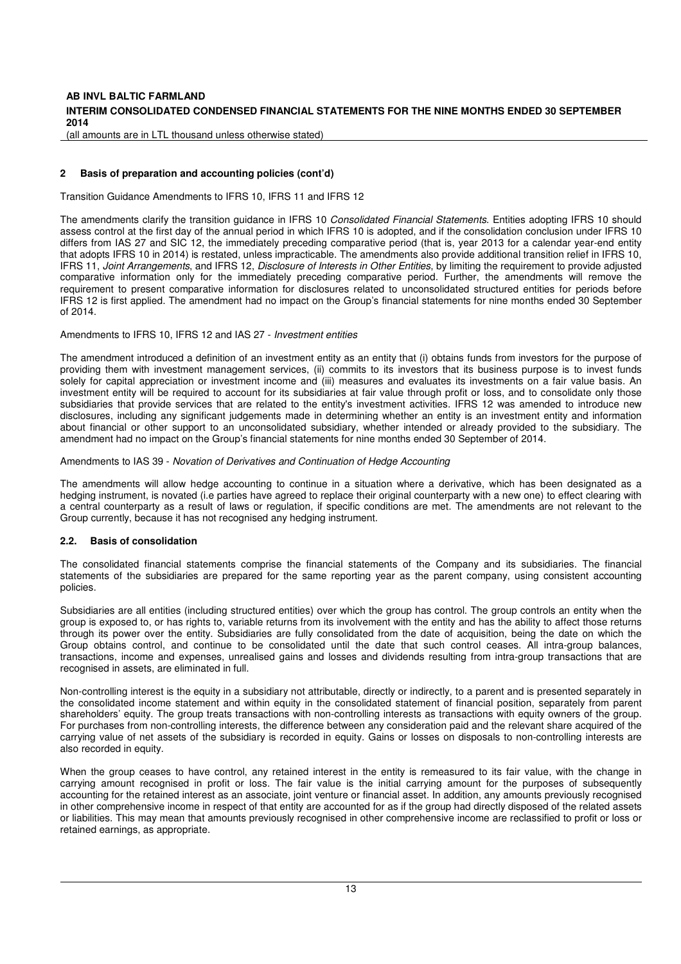# **AB INVL BALTIC FARMLAND INTERIM CONSOLIDATED CONDENSED FINANCIAL STATEMENTS FOR THE NINE MONTHS ENDED 30 SEPTEMBER 2014**

(all amounts are in LTL thousand unless otherwise stated)

### **2 Basis of preparation and accounting policies (cont'd)**

Transition Guidance Amendments to IFRS 10, IFRS 11 and IFRS 12

The amendments clarify the transition guidance in IFRS 10 Consolidated Financial Statements. Entities adopting IFRS 10 should assess control at the first day of the annual period in which IFRS 10 is adopted, and if the consolidation conclusion under IFRS 10 differs from IAS 27 and SIC 12, the immediately preceding comparative period (that is, year 2013 for a calendar year-end entity that adopts IFRS 10 in 2014) is restated, unless impracticable. The amendments also provide additional transition relief in IFRS 10, IFRS 11, Joint Arrangements, and IFRS 12, Disclosure of Interests in Other Entities, by limiting the requirement to provide adjusted comparative information only for the immediately preceding comparative period. Further, the amendments will remove the requirement to present comparative information for disclosures related to unconsolidated structured entities for periods before IFRS 12 is first applied. The amendment had no impact on the Group's financial statements for nine months ended 30 September of 2014.

#### Amendments to IFRS 10, IFRS 12 and IAS 27 - Investment entities

The amendment introduced a definition of an investment entity as an entity that (i) obtains funds from investors for the purpose of providing them with investment management services, (ii) commits to its investors that its business purpose is to invest funds solely for capital appreciation or investment income and (iii) measures and evaluates its investments on a fair value basis. An investment entity will be required to account for its subsidiaries at fair value through profit or loss, and to consolidate only those subsidiaries that provide services that are related to the entity's investment activities. IFRS 12 was amended to introduce new disclosures, including any significant judgements made in determining whether an entity is an investment entity and information about financial or other support to an unconsolidated subsidiary, whether intended or already provided to the subsidiary. The amendment had no impact on the Group's financial statements for nine months ended 30 September of 2014.

Amendments to IAS 39 - Novation of Derivatives and Continuation of Hedge Accounting

The amendments will allow hedge accounting to continue in a situation where a derivative, which has been designated as a hedging instrument, is novated (i.e parties have agreed to replace their original counterparty with a new one) to effect clearing with a central counterparty as a result of laws or regulation, if specific conditions are met. The amendments are not relevant to the Group currently, because it has not recognised any hedging instrument.

#### **2.2. Basis of consolidation**

The consolidated financial statements comprise the financial statements of the Company and its subsidiaries. The financial statements of the subsidiaries are prepared for the same reporting year as the parent company, using consistent accounting policies.

Subsidiaries are all entities (including structured entities) over which the group has control. The group controls an entity when the group is exposed to, or has rights to, variable returns from its involvement with the entity and has the ability to affect those returns through its power over the entity. Subsidiaries are fully consolidated from the date of acquisition, being the date on which the Group obtains control, and continue to be consolidated until the date that such control ceases. All intra-group balances, transactions, income and expenses, unrealised gains and losses and dividends resulting from intra-group transactions that are recognised in assets, are eliminated in full.

Non-controlling interest is the equity in a subsidiary not attributable, directly or indirectly, to a parent and is presented separately in the consolidated income statement and within equity in the consolidated statement of financial position, separately from parent shareholders' equity. The group treats transactions with non-controlling interests as transactions with equity owners of the group. For purchases from non-controlling interests, the difference between any consideration paid and the relevant share acquired of the carrying value of net assets of the subsidiary is recorded in equity. Gains or losses on disposals to non-controlling interests are also recorded in equity.

When the group ceases to have control, any retained interest in the entity is remeasured to its fair value, with the change in carrying amount recognised in profit or loss. The fair value is the initial carrying amount for the purposes of subsequently accounting for the retained interest as an associate, joint venture or financial asset. In addition, any amounts previously recognised in other comprehensive income in respect of that entity are accounted for as if the group had directly disposed of the related assets or liabilities. This may mean that amounts previously recognised in other comprehensive income are reclassified to profit or loss or retained earnings, as appropriate.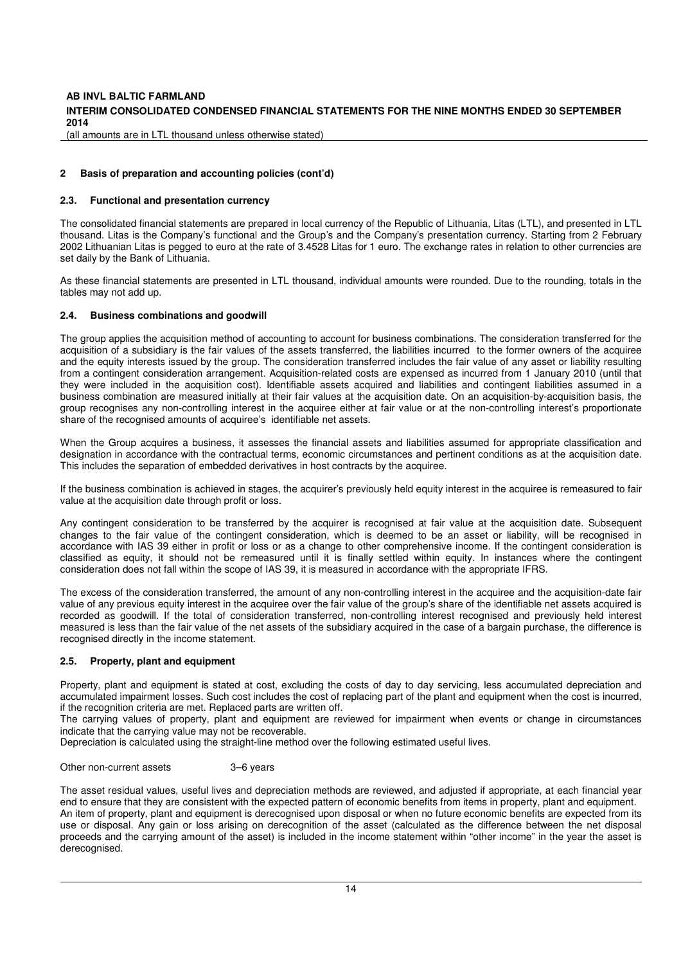# **INTERIM CONSOLIDATED CONDENSED FINANCIAL STATEMENTS FOR THE NINE MONTHS ENDED 30 SEPTEMBER 2014**

(all amounts are in LTL thousand unless otherwise stated)

### **2 Basis of preparation and accounting policies (cont'd)**

#### **2.3. Functional and presentation currency**

The consolidated financial statements are prepared in local currency of the Republic of Lithuania, Litas (LTL), and presented in LTL thousand. Litas is the Company's functional and the Group's and the Company's presentation currency. Starting from 2 February 2002 Lithuanian Litas is pegged to euro at the rate of 3.4528 Litas for 1 euro. The exchange rates in relation to other currencies are set daily by the Bank of Lithuania.

As these financial statements are presented in LTL thousand, individual amounts were rounded. Due to the rounding, totals in the tables may not add up.

#### **2.4. Business combinations and goodwill**

The group applies the acquisition method of accounting to account for business combinations. The consideration transferred for the acquisition of a subsidiary is the fair values of the assets transferred, the liabilities incurred to the former owners of the acquiree and the equity interests issued by the group. The consideration transferred includes the fair value of any asset or liability resulting from a contingent consideration arrangement. Acquisition-related costs are expensed as incurred from 1 January 2010 (until that they were included in the acquisition cost). Identifiable assets acquired and liabilities and contingent liabilities assumed in a business combination are measured initially at their fair values at the acquisition date. On an acquisition-by-acquisition basis, the group recognises any non-controlling interest in the acquiree either at fair value or at the non-controlling interest's proportionate share of the recognised amounts of acquiree's identifiable net assets.

When the Group acquires a business, it assesses the financial assets and liabilities assumed for appropriate classification and designation in accordance with the contractual terms, economic circumstances and pertinent conditions as at the acquisition date. This includes the separation of embedded derivatives in host contracts by the acquiree.

If the business combination is achieved in stages, the acquirer's previously held equity interest in the acquiree is remeasured to fair value at the acquisition date through profit or loss.

Any contingent consideration to be transferred by the acquirer is recognised at fair value at the acquisition date. Subsequent changes to the fair value of the contingent consideration, which is deemed to be an asset or liability, will be recognised in accordance with IAS 39 either in profit or loss or as a change to other comprehensive income. If the contingent consideration is classified as equity, it should not be remeasured until it is finally settled within equity. In instances where the contingent consideration does not fall within the scope of IAS 39, it is measured in accordance with the appropriate IFRS.

The excess of the consideration transferred, the amount of any non-controlling interest in the acquiree and the acquisition-date fair value of any previous equity interest in the acquiree over the fair value of the group's share of the identifiable net assets acquired is recorded as goodwill. If the total of consideration transferred, non-controlling interest recognised and previously held interest measured is less than the fair value of the net assets of the subsidiary acquired in the case of a bargain purchase, the difference is recognised directly in the income statement.

#### **2.5. Property, plant and equipment**

Property, plant and equipment is stated at cost, excluding the costs of day to day servicing, less accumulated depreciation and accumulated impairment losses. Such cost includes the cost of replacing part of the plant and equipment when the cost is incurred, if the recognition criteria are met. Replaced parts are written off.

The carrying values of property, plant and equipment are reviewed for impairment when events or change in circumstances indicate that the carrying value may not be recoverable.

Depreciation is calculated using the straight-line method over the following estimated useful lives.

#### Other non-current assets 3–6 years

The asset residual values, useful lives and depreciation methods are reviewed, and adjusted if appropriate, at each financial year end to ensure that they are consistent with the expected pattern of economic benefits from items in property, plant and equipment. An item of property, plant and equipment is derecognised upon disposal or when no future economic benefits are expected from its use or disposal. Any gain or loss arising on derecognition of the asset (calculated as the difference between the net disposal proceeds and the carrying amount of the asset) is included in the income statement within "other income" in the year the asset is derecognised.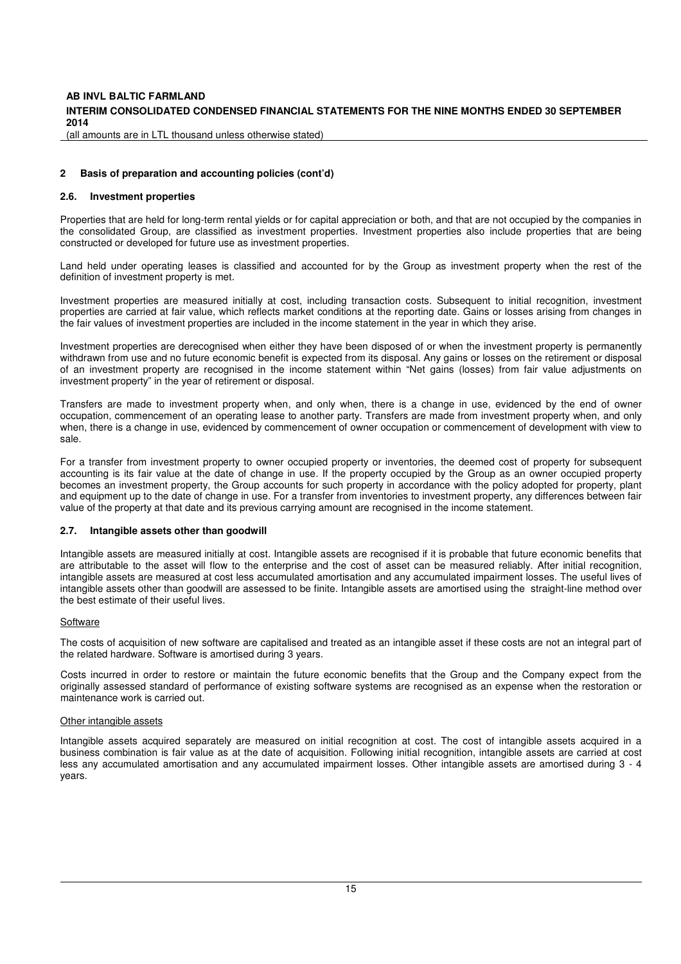# **INTERIM CONSOLIDATED CONDENSED FINANCIAL STATEMENTS FOR THE NINE MONTHS ENDED 30 SEPTEMBER 2014**

(all amounts are in LTL thousand unless otherwise stated)

#### **2 Basis of preparation and accounting policies (cont'd)**

#### **2.6. Investment properties**

Properties that are held for long-term rental yields or for capital appreciation or both, and that are not occupied by the companies in the consolidated Group, are classified as investment properties. Investment properties also include properties that are being constructed or developed for future use as investment properties.

Land held under operating leases is classified and accounted for by the Group as investment property when the rest of the definition of investment property is met.

Investment properties are measured initially at cost, including transaction costs. Subsequent to initial recognition, investment properties are carried at fair value, which reflects market conditions at the reporting date. Gains or losses arising from changes in the fair values of investment properties are included in the income statement in the year in which they arise.

Investment properties are derecognised when either they have been disposed of or when the investment property is permanently withdrawn from use and no future economic benefit is expected from its disposal. Any gains or losses on the retirement or disposal of an investment property are recognised in the income statement within "Net gains (losses) from fair value adjustments on investment property" in the year of retirement or disposal.

Transfers are made to investment property when, and only when, there is a change in use, evidenced by the end of owner occupation, commencement of an operating lease to another party. Transfers are made from investment property when, and only when, there is a change in use, evidenced by commencement of owner occupation or commencement of development with view to sale.

For a transfer from investment property to owner occupied property or inventories, the deemed cost of property for subsequent accounting is its fair value at the date of change in use. If the property occupied by the Group as an owner occupied property becomes an investment property, the Group accounts for such property in accordance with the policy adopted for property, plant and equipment up to the date of change in use. For a transfer from inventories to investment property, any differences between fair value of the property at that date and its previous carrying amount are recognised in the income statement.

# **2.7. Intangible assets other than goodwill**

Intangible assets are measured initially at cost. Intangible assets are recognised if it is probable that future economic benefits that are attributable to the asset will flow to the enterprise and the cost of asset can be measured reliably. After initial recognition, intangible assets are measured at cost less accumulated amortisation and any accumulated impairment losses. The useful lives of intangible assets other than goodwill are assessed to be finite. Intangible assets are amortised using the straight-line method over the best estimate of their useful lives.

#### Software

The costs of acquisition of new software are capitalised and treated as an intangible asset if these costs are not an integral part of the related hardware. Software is amortised during 3 years.

Costs incurred in order to restore or maintain the future economic benefits that the Group and the Company expect from the originally assessed standard of performance of existing software systems are recognised as an expense when the restoration or maintenance work is carried out.

#### Other intangible assets

Intangible assets acquired separately are measured on initial recognition at cost. The cost of intangible assets acquired in a business combination is fair value as at the date of acquisition. Following initial recognition, intangible assets are carried at cost less any accumulated amortisation and any accumulated impairment losses. Other intangible assets are amortised during 3 - 4 years.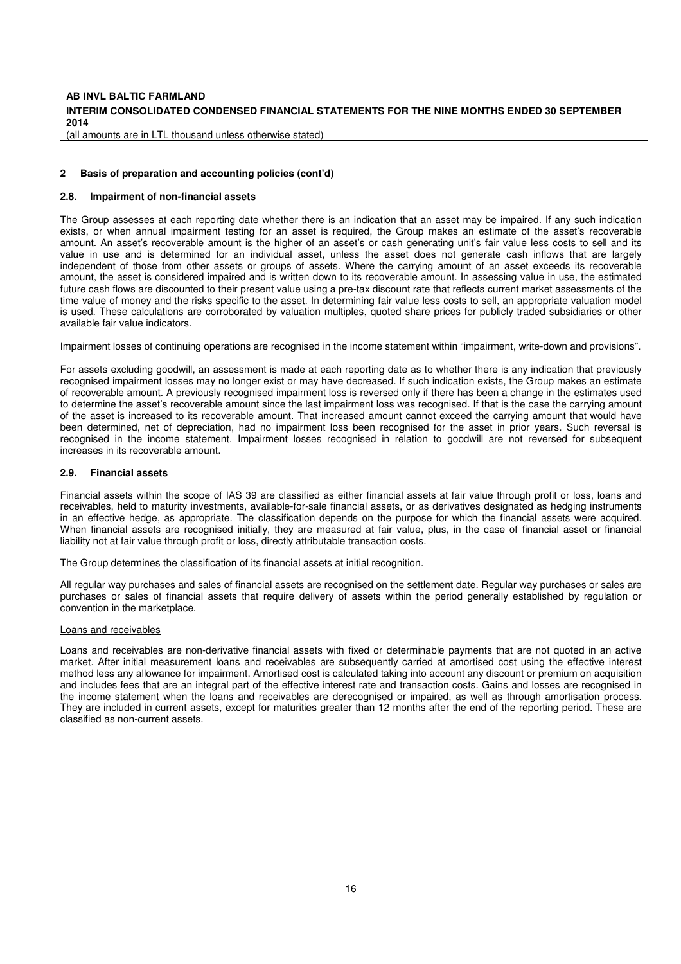# **INTERIM CONSOLIDATED CONDENSED FINANCIAL STATEMENTS FOR THE NINE MONTHS ENDED 30 SEPTEMBER 2014**

(all amounts are in LTL thousand unless otherwise stated)

### **2 Basis of preparation and accounting policies (cont'd)**

#### **2.8. Impairment of non-financial assets**

The Group assesses at each reporting date whether there is an indication that an asset may be impaired. If any such indication exists, or when annual impairment testing for an asset is required, the Group makes an estimate of the asset's recoverable amount. An asset's recoverable amount is the higher of an asset's or cash generating unit's fair value less costs to sell and its value in use and is determined for an individual asset, unless the asset does not generate cash inflows that are largely independent of those from other assets or groups of assets. Where the carrying amount of an asset exceeds its recoverable amount, the asset is considered impaired and is written down to its recoverable amount. In assessing value in use, the estimated future cash flows are discounted to their present value using a pre-tax discount rate that reflects current market assessments of the time value of money and the risks specific to the asset. In determining fair value less costs to sell, an appropriate valuation model is used. These calculations are corroborated by valuation multiples, quoted share prices for publicly traded subsidiaries or other available fair value indicators.

Impairment losses of continuing operations are recognised in the income statement within "impairment, write-down and provisions".

For assets excluding goodwill, an assessment is made at each reporting date as to whether there is any indication that previously recognised impairment losses may no longer exist or may have decreased. If such indication exists, the Group makes an estimate of recoverable amount. A previously recognised impairment loss is reversed only if there has been a change in the estimates used to determine the asset's recoverable amount since the last impairment loss was recognised. If that is the case the carrying amount of the asset is increased to its recoverable amount. That increased amount cannot exceed the carrying amount that would have been determined, net of depreciation, had no impairment loss been recognised for the asset in prior years. Such reversal is recognised in the income statement. Impairment losses recognised in relation to goodwill are not reversed for subsequent increases in its recoverable amount.

### **2.9. Financial assets**

Financial assets within the scope of IAS 39 are classified as either financial assets at fair value through profit or loss, loans and receivables, held to maturity investments, available-for-sale financial assets, or as derivatives designated as hedging instruments in an effective hedge, as appropriate. The classification depends on the purpose for which the financial assets were acquired. When financial assets are recognised initially, they are measured at fair value, plus, in the case of financial asset or financial liability not at fair value through profit or loss, directly attributable transaction costs.

The Group determines the classification of its financial assets at initial recognition.

All regular way purchases and sales of financial assets are recognised on the settlement date. Regular way purchases or sales are purchases or sales of financial assets that require delivery of assets within the period generally established by regulation or convention in the marketplace.

#### Loans and receivables

Loans and receivables are non-derivative financial assets with fixed or determinable payments that are not quoted in an active market. After initial measurement loans and receivables are subsequently carried at amortised cost using the effective interest method less any allowance for impairment. Amortised cost is calculated taking into account any discount or premium on acquisition and includes fees that are an integral part of the effective interest rate and transaction costs. Gains and losses are recognised in the income statement when the loans and receivables are derecognised or impaired, as well as through amortisation process. They are included in current assets, except for maturities greater than 12 months after the end of the reporting period. These are classified as non-current assets.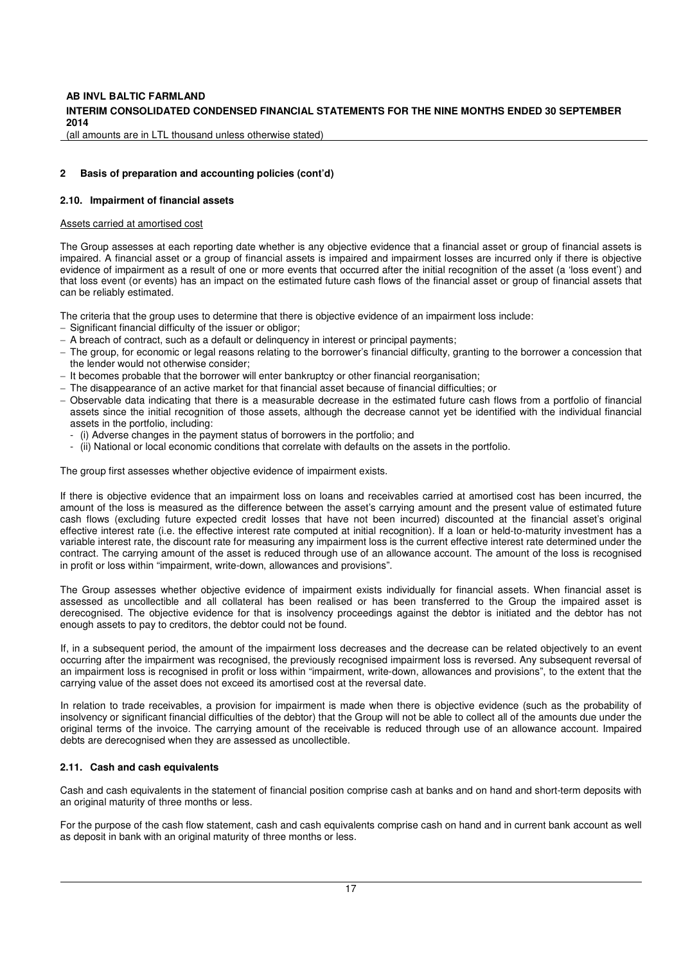# **INTERIM CONSOLIDATED CONDENSED FINANCIAL STATEMENTS FOR THE NINE MONTHS ENDED 30 SEPTEMBER 2014**

(all amounts are in LTL thousand unless otherwise stated)

# **2 Basis of preparation and accounting policies (cont'd)**

#### **2.10. Impairment of financial assets**

#### Assets carried at amortised cost

The Group assesses at each reporting date whether is any objective evidence that a financial asset or group of financial assets is impaired. A financial asset or a group of financial assets is impaired and impairment losses are incurred only if there is objective evidence of impairment as a result of one or more events that occurred after the initial recognition of the asset (a 'loss event') and that loss event (or events) has an impact on the estimated future cash flows of the financial asset or group of financial assets that can be reliably estimated.

The criteria that the group uses to determine that there is objective evidence of an impairment loss include:

- − Significant financial difficulty of the issuer or obligor;
- − A breach of contract, such as a default or delinquency in interest or principal payments;
- − The group, for economic or legal reasons relating to the borrower's financial difficulty, granting to the borrower a concession that the lender would not otherwise consider;
- − It becomes probable that the borrower will enter bankruptcy or other financial reorganisation;
- − The disappearance of an active market for that financial asset because of financial difficulties; or
- − Observable data indicating that there is a measurable decrease in the estimated future cash flows from a portfolio of financial assets since the initial recognition of those assets, although the decrease cannot yet be identified with the individual financial assets in the portfolio, including:
	- (i) Adverse changes in the payment status of borrowers in the portfolio; and
	- (ii) National or local economic conditions that correlate with defaults on the assets in the portfolio.

The group first assesses whether objective evidence of impairment exists.

If there is objective evidence that an impairment loss on loans and receivables carried at amortised cost has been incurred, the amount of the loss is measured as the difference between the asset's carrying amount and the present value of estimated future cash flows (excluding future expected credit losses that have not been incurred) discounted at the financial asset's original effective interest rate (i.e. the effective interest rate computed at initial recognition). If a loan or held-to-maturity investment has a variable interest rate, the discount rate for measuring any impairment loss is the current effective interest rate determined under the contract. The carrying amount of the asset is reduced through use of an allowance account. The amount of the loss is recognised in profit or loss within "impairment, write-down, allowances and provisions".

The Group assesses whether objective evidence of impairment exists individually for financial assets. When financial asset is assessed as uncollectible and all collateral has been realised or has been transferred to the Group the impaired asset is derecognised. The objective evidence for that is insolvency proceedings against the debtor is initiated and the debtor has not enough assets to pay to creditors, the debtor could not be found.

If, in a subsequent period, the amount of the impairment loss decreases and the decrease can be related objectively to an event occurring after the impairment was recognised, the previously recognised impairment loss is reversed. Any subsequent reversal of an impairment loss is recognised in profit or loss within "impairment, write-down, allowances and provisions", to the extent that the carrying value of the asset does not exceed its amortised cost at the reversal date.

In relation to trade receivables, a provision for impairment is made when there is objective evidence (such as the probability of insolvency or significant financial difficulties of the debtor) that the Group will not be able to collect all of the amounts due under the original terms of the invoice. The carrying amount of the receivable is reduced through use of an allowance account. Impaired debts are derecognised when they are assessed as uncollectible.

#### **2.11. Cash and cash equivalents**

Cash and cash equivalents in the statement of financial position comprise cash at banks and on hand and short-term deposits with an original maturity of three months or less.

For the purpose of the cash flow statement, cash and cash equivalents comprise cash on hand and in current bank account as well as deposit in bank with an original maturity of three months or less.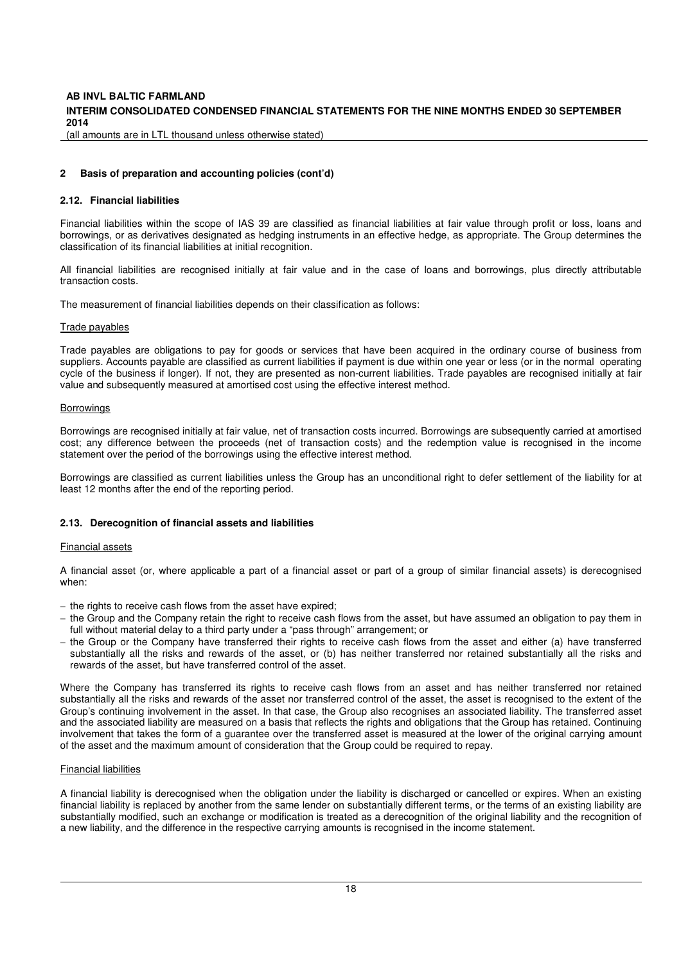# **INTERIM CONSOLIDATED CONDENSED FINANCIAL STATEMENTS FOR THE NINE MONTHS ENDED 30 SEPTEMBER 2014**

(all amounts are in LTL thousand unless otherwise stated)

#### **2 Basis of preparation and accounting policies (cont'd)**

#### **2.12. Financial liabilities**

Financial liabilities within the scope of IAS 39 are classified as financial liabilities at fair value through profit or loss, loans and borrowings, or as derivatives designated as hedging instruments in an effective hedge, as appropriate. The Group determines the classification of its financial liabilities at initial recognition.

All financial liabilities are recognised initially at fair value and in the case of loans and borrowings, plus directly attributable transaction costs.

The measurement of financial liabilities depends on their classification as follows:

#### Trade payables

Trade payables are obligations to pay for goods or services that have been acquired in the ordinary course of business from suppliers. Accounts payable are classified as current liabilities if payment is due within one year or less (or in the normal operating cycle of the business if longer). If not, they are presented as non-current liabilities. Trade payables are recognised initially at fair value and subsequently measured at amortised cost using the effective interest method.

#### Borrowings

Borrowings are recognised initially at fair value, net of transaction costs incurred. Borrowings are subsequently carried at amortised cost; any difference between the proceeds (net of transaction costs) and the redemption value is recognised in the income statement over the period of the borrowings using the effective interest method.

Borrowings are classified as current liabilities unless the Group has an unconditional right to defer settlement of the liability for at least 12 months after the end of the reporting period.

#### **2.13. Derecognition of financial assets and liabilities**

#### Financial assets

A financial asset (or, where applicable a part of a financial asset or part of a group of similar financial assets) is derecognised when:

- − the rights to receive cash flows from the asset have expired;
- − the Group and the Company retain the right to receive cash flows from the asset, but have assumed an obligation to pay them in full without material delay to a third party under a "pass through" arrangement; or
- the Group or the Company have transferred their rights to receive cash flows from the asset and either (a) have transferred substantially all the risks and rewards of the asset, or (b) has neither transferred nor retained substantially all the risks and rewards of the asset, but have transferred control of the asset.

Where the Company has transferred its rights to receive cash flows from an asset and has neither transferred nor retained substantially all the risks and rewards of the asset nor transferred control of the asset, the asset is recognised to the extent of the Group's continuing involvement in the asset. In that case, the Group also recognises an associated liability. The transferred asset and the associated liability are measured on a basis that reflects the rights and obligations that the Group has retained. Continuing involvement that takes the form of a guarantee over the transferred asset is measured at the lower of the original carrying amount of the asset and the maximum amount of consideration that the Group could be required to repay.

#### Financial liabilities

A financial liability is derecognised when the obligation under the liability is discharged or cancelled or expires. When an existing financial liability is replaced by another from the same lender on substantially different terms, or the terms of an existing liability are substantially modified, such an exchange or modification is treated as a derecognition of the original liability and the recognition of a new liability, and the difference in the respective carrying amounts is recognised in the income statement.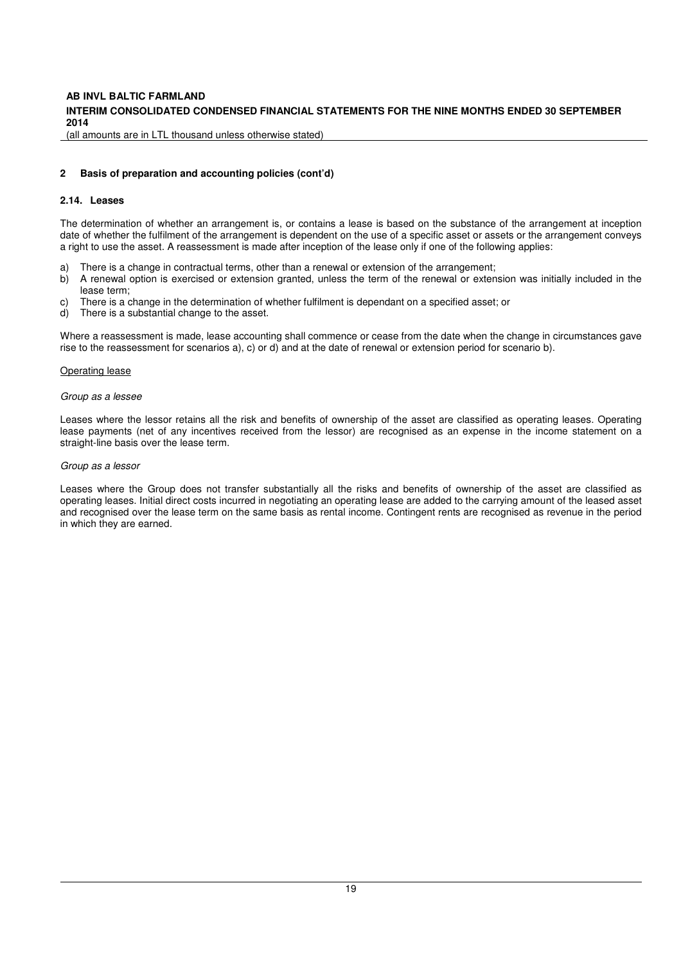# **INTERIM CONSOLIDATED CONDENSED FINANCIAL STATEMENTS FOR THE NINE MONTHS ENDED 30 SEPTEMBER 2014**

(all amounts are in LTL thousand unless otherwise stated)

#### **2 Basis of preparation and accounting policies (cont'd)**

#### **2.14. Leases**

The determination of whether an arrangement is, or contains a lease is based on the substance of the arrangement at inception date of whether the fulfilment of the arrangement is dependent on the use of a specific asset or assets or the arrangement conveys a right to use the asset. A reassessment is made after inception of the lease only if one of the following applies:

- a) There is a change in contractual terms, other than a renewal or extension of the arrangement;
- b) A renewal option is exercised or extension granted, unless the term of the renewal or extension was initially included in the lease term;
- c) There is a change in the determination of whether fulfilment is dependant on a specified asset; or
- d) There is a substantial change to the asset.

Where a reassessment is made, lease accounting shall commence or cease from the date when the change in circumstances gave rise to the reassessment for scenarios a), c) or d) and at the date of renewal or extension period for scenario b).

#### Operating lease

#### Group as a lessee

Leases where the lessor retains all the risk and benefits of ownership of the asset are classified as operating leases. Operating lease payments (net of any incentives received from the lessor) are recognised as an expense in the income statement on a straight-line basis over the lease term.

#### Group as a lessor

Leases where the Group does not transfer substantially all the risks and benefits of ownership of the asset are classified as operating leases. Initial direct costs incurred in negotiating an operating lease are added to the carrying amount of the leased asset and recognised over the lease term on the same basis as rental income. Contingent rents are recognised as revenue in the period in which they are earned.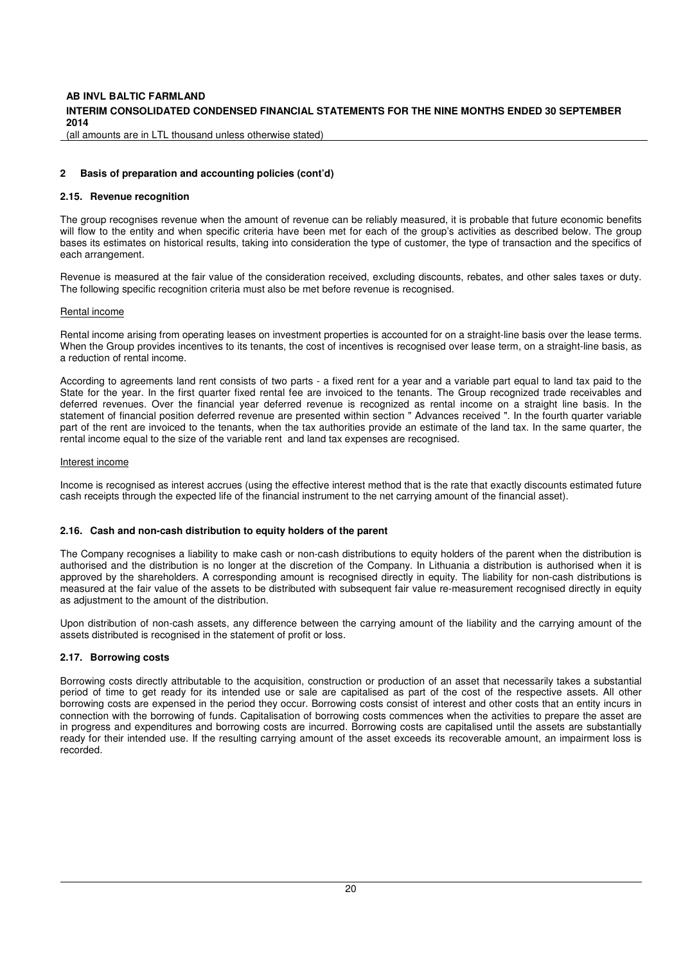# **INTERIM CONSOLIDATED CONDENSED FINANCIAL STATEMENTS FOR THE NINE MONTHS ENDED 30 SEPTEMBER 2014**

(all amounts are in LTL thousand unless otherwise stated)

#### **2 Basis of preparation and accounting policies (cont'd)**

#### **2.15. Revenue recognition**

The group recognises revenue when the amount of revenue can be reliably measured, it is probable that future economic benefits will flow to the entity and when specific criteria have been met for each of the group's activities as described below. The group bases its estimates on historical results, taking into consideration the type of customer, the type of transaction and the specifics of each arrangement.

Revenue is measured at the fair value of the consideration received, excluding discounts, rebates, and other sales taxes or duty. The following specific recognition criteria must also be met before revenue is recognised.

#### Rental income

Rental income arising from operating leases on investment properties is accounted for on a straight-line basis over the lease terms. When the Group provides incentives to its tenants, the cost of incentives is recognised over lease term, on a straight-line basis, as a reduction of rental income.

According to agreements land rent consists of two parts - a fixed rent for a year and a variable part equal to land tax paid to the State for the year. In the first quarter fixed rental fee are invoiced to the tenants. The Group recognized trade receivables and deferred revenues. Over the financial year deferred revenue is recognized as rental income on a straight line basis. In the statement of financial position deferred revenue are presented within section " Advances received ". In the fourth quarter variable part of the rent are invoiced to the tenants, when the tax authorities provide an estimate of the land tax. In the same quarter, the rental income equal to the size of the variable rent and land tax expenses are recognised.

#### Interest income

Income is recognised as interest accrues (using the effective interest method that is the rate that exactly discounts estimated future cash receipts through the expected life of the financial instrument to the net carrying amount of the financial asset).

### **2.16. Cash and non-cash distribution to equity holders of the parent**

The Company recognises a liability to make cash or non-cash distributions to equity holders of the parent when the distribution is authorised and the distribution is no longer at the discretion of the Company. In Lithuania a distribution is authorised when it is approved by the shareholders. A corresponding amount is recognised directly in equity. The liability for non-cash distributions is measured at the fair value of the assets to be distributed with subsequent fair value re-measurement recognised directly in equity as adjustment to the amount of the distribution.

Upon distribution of non-cash assets, any difference between the carrying amount of the liability and the carrying amount of the assets distributed is recognised in the statement of profit or loss.

#### **2.17. Borrowing costs**

Borrowing costs directly attributable to the acquisition, construction or production of an asset that necessarily takes a substantial period of time to get ready for its intended use or sale are capitalised as part of the cost of the respective assets. All other borrowing costs are expensed in the period they occur. Borrowing costs consist of interest and other costs that an entity incurs in connection with the borrowing of funds. Capitalisation of borrowing costs commences when the activities to prepare the asset are in progress and expenditures and borrowing costs are incurred. Borrowing costs are capitalised until the assets are substantially ready for their intended use. If the resulting carrying amount of the asset exceeds its recoverable amount, an impairment loss is recorded.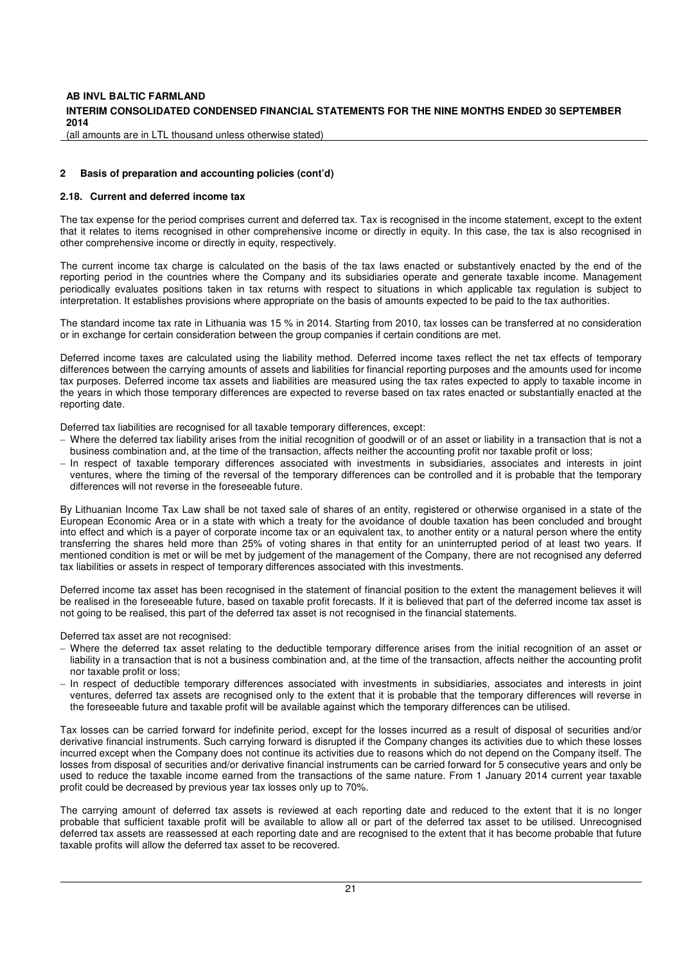# **INTERIM CONSOLIDATED CONDENSED FINANCIAL STATEMENTS FOR THE NINE MONTHS ENDED 30 SEPTEMBER 2014**

(all amounts are in LTL thousand unless otherwise stated)

#### **2 Basis of preparation and accounting policies (cont'd)**

#### **2.18. Current and deferred income tax**

The tax expense for the period comprises current and deferred tax. Tax is recognised in the income statement, except to the extent that it relates to items recognised in other comprehensive income or directly in equity. In this case, the tax is also recognised in other comprehensive income or directly in equity, respectively.

The current income tax charge is calculated on the basis of the tax laws enacted or substantively enacted by the end of the reporting period in the countries where the Company and its subsidiaries operate and generate taxable income. Management periodically evaluates positions taken in tax returns with respect to situations in which applicable tax regulation is subject to interpretation. It establishes provisions where appropriate on the basis of amounts expected to be paid to the tax authorities.

The standard income tax rate in Lithuania was 15 % in 2014. Starting from 2010, tax losses can be transferred at no consideration or in exchange for certain consideration between the group companies if certain conditions are met.

Deferred income taxes are calculated using the liability method. Deferred income taxes reflect the net tax effects of temporary differences between the carrying amounts of assets and liabilities for financial reporting purposes and the amounts used for income tax purposes. Deferred income tax assets and liabilities are measured using the tax rates expected to apply to taxable income in the years in which those temporary differences are expected to reverse based on tax rates enacted or substantially enacted at the reporting date.

Deferred tax liabilities are recognised for all taxable temporary differences, except:

- − Where the deferred tax liability arises from the initial recognition of goodwill or of an asset or liability in a transaction that is not a business combination and, at the time of the transaction, affects neither the accounting profit nor taxable profit or loss;
- − In respect of taxable temporary differences associated with investments in subsidiaries, associates and interests in joint ventures, where the timing of the reversal of the temporary differences can be controlled and it is probable that the temporary differences will not reverse in the foreseeable future.

By Lithuanian Income Tax Law shall be not taxed sale of shares of an entity, registered or otherwise organised in a state of the European Economic Area or in a state with which a treaty for the avoidance of double taxation has been concluded and brought into effect and which is a payer of corporate income tax or an equivalent tax, to another entity or a natural person where the entity transferring the shares held more than 25% of voting shares in that entity for an uninterrupted period of at least two years. If mentioned condition is met or will be met by judgement of the management of the Company, there are not recognised any deferred tax liabilities or assets in respect of temporary differences associated with this investments.

Deferred income tax asset has been recognised in the statement of financial position to the extent the management believes it will be realised in the foreseeable future, based on taxable profit forecasts. If it is believed that part of the deferred income tax asset is not going to be realised, this part of the deferred tax asset is not recognised in the financial statements.

Deferred tax asset are not recognised:

- − Where the deferred tax asset relating to the deductible temporary difference arises from the initial recognition of an asset or liability in a transaction that is not a business combination and, at the time of the transaction, affects neither the accounting profit nor taxable profit or loss;
- − In respect of deductible temporary differences associated with investments in subsidiaries, associates and interests in joint ventures, deferred tax assets are recognised only to the extent that it is probable that the temporary differences will reverse in the foreseeable future and taxable profit will be available against which the temporary differences can be utilised.

Tax losses can be carried forward for indefinite period, except for the losses incurred as a result of disposal of securities and/or derivative financial instruments. Such carrying forward is disrupted if the Company changes its activities due to which these losses incurred except when the Company does not continue its activities due to reasons which do not depend on the Company itself. The losses from disposal of securities and/or derivative financial instruments can be carried forward for 5 consecutive years and only be used to reduce the taxable income earned from the transactions of the same nature. From 1 January 2014 current year taxable profit could be decreased by previous year tax losses only up to 70%.

The carrying amount of deferred tax assets is reviewed at each reporting date and reduced to the extent that it is no longer probable that sufficient taxable profit will be available to allow all or part of the deferred tax asset to be utilised. Unrecognised deferred tax assets are reassessed at each reporting date and are recognised to the extent that it has become probable that future taxable profits will allow the deferred tax asset to be recovered.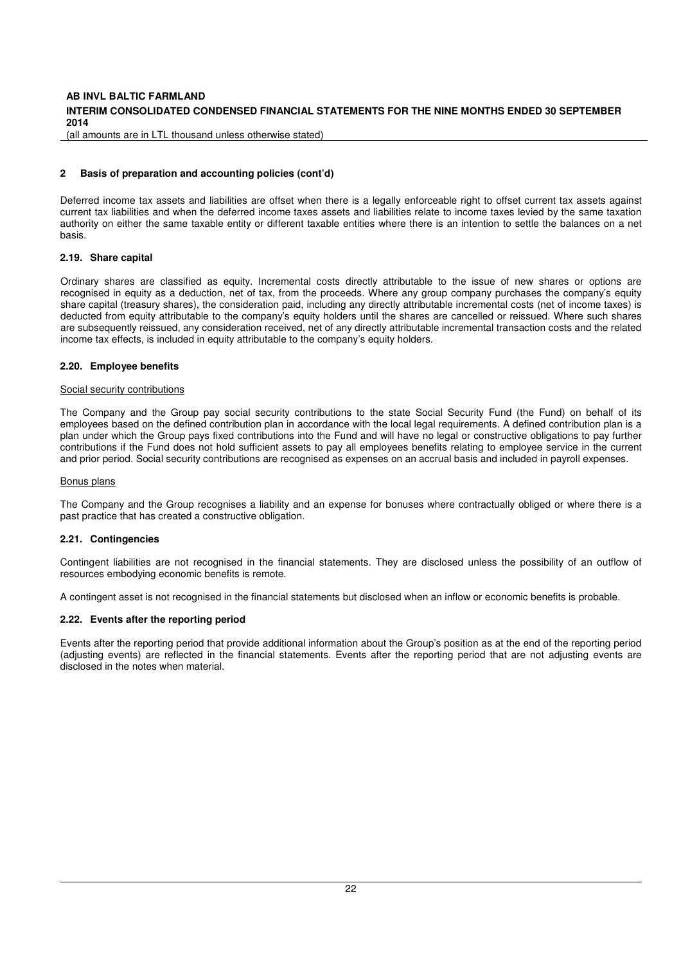### **INTERIM CONSOLIDATED CONDENSED FINANCIAL STATEMENTS FOR THE NINE MONTHS ENDED 30 SEPTEMBER 2014**

(all amounts are in LTL thousand unless otherwise stated)

#### **2 Basis of preparation and accounting policies (cont'd)**

Deferred income tax assets and liabilities are offset when there is a legally enforceable right to offset current tax assets against current tax liabilities and when the deferred income taxes assets and liabilities relate to income taxes levied by the same taxation authority on either the same taxable entity or different taxable entities where there is an intention to settle the balances on a net basis.

#### **2.19. Share capital**

Ordinary shares are classified as equity. Incremental costs directly attributable to the issue of new shares or options are recognised in equity as a deduction, net of tax, from the proceeds. Where any group company purchases the company's equity share capital (treasury shares), the consideration paid, including any directly attributable incremental costs (net of income taxes) is deducted from equity attributable to the company's equity holders until the shares are cancelled or reissued. Where such shares are subsequently reissued, any consideration received, net of any directly attributable incremental transaction costs and the related income tax effects, is included in equity attributable to the company's equity holders.

#### **2.20. Employee benefits**

#### Social security contributions

The Company and the Group pay social security contributions to the state Social Security Fund (the Fund) on behalf of its employees based on the defined contribution plan in accordance with the local legal requirements. A defined contribution plan is a plan under which the Group pays fixed contributions into the Fund and will have no legal or constructive obligations to pay further contributions if the Fund does not hold sufficient assets to pay all employees benefits relating to employee service in the current and prior period. Social security contributions are recognised as expenses on an accrual basis and included in payroll expenses.

#### Bonus plans

The Company and the Group recognises a liability and an expense for bonuses where contractually obliged or where there is a past practice that has created a constructive obligation.

#### **2.21. Contingencies**

Contingent liabilities are not recognised in the financial statements. They are disclosed unless the possibility of an outflow of resources embodying economic benefits is remote.

A contingent asset is not recognised in the financial statements but disclosed when an inflow or economic benefits is probable.

#### **2.22. Events after the reporting period**

Events after the reporting period that provide additional information about the Group's position as at the end of the reporting period (adjusting events) are reflected in the financial statements. Events after the reporting period that are not adjusting events are disclosed in the notes when material.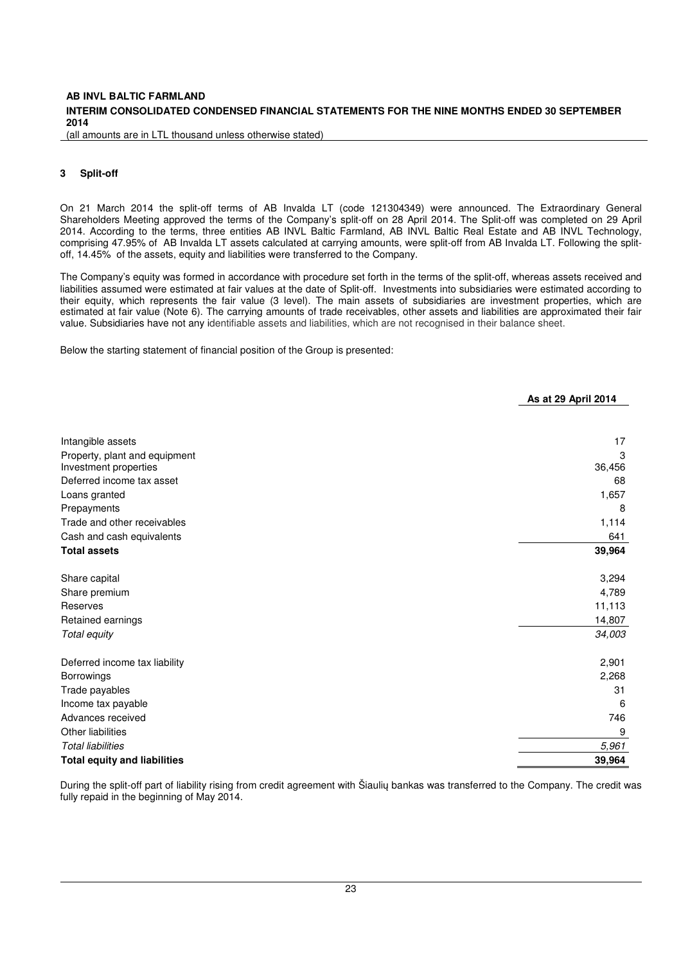# **INTERIM CONSOLIDATED CONDENSED FINANCIAL STATEMENTS FOR THE NINE MONTHS ENDED 30 SEPTEMBER 2014**

(all amounts are in LTL thousand unless otherwise stated)

#### **3 Split-off**

On 21 March 2014 the split-off terms of AB Invalda LT (code 121304349) were announced. The Extraordinary General Shareholders Meeting approved the terms of the Company's split-off on 28 April 2014. The Split-off was completed on 29 April 2014. According to the terms, three entities AB INVL Baltic Farmland, AB INVL Baltic Real Estate and AB INVL Technology, comprising 47.95% of AB Invalda LT assets calculated at carrying amounts, were split-off from AB Invalda LT. Following the splitoff, 14.45% of the assets, equity and liabilities were transferred to the Company.

The Company's equity was formed in accordance with procedure set forth in the terms of the split-off, whereas assets received and liabilities assumed were estimated at fair values at the date of Split-off. Investments into subsidiaries were estimated according to their equity, which represents the fair value (3 level). The main assets of subsidiaries are investment properties, which are estimated at fair value (Note 6). The carrying amounts of trade receivables, other assets and liabilities are approximated their fair value. Subsidiaries have not any identifiable assets and liabilities, which are not recognised in their balance sheet.

Below the starting statement of financial position of the Group is presented:

|                                                        | As at 29 April 2014 |
|--------------------------------------------------------|---------------------|
|                                                        |                     |
| Intangible assets                                      | 17                  |
| Property, plant and equipment<br>Investment properties | 3<br>36,456         |
| Deferred income tax asset                              | 68                  |
| Loans granted                                          | 1,657               |
| Prepayments                                            | 8                   |
| Trade and other receivables                            | 1,114               |
| Cash and cash equivalents                              | 641                 |
| <b>Total assets</b>                                    | 39,964              |
| Share capital                                          | 3,294               |
| Share premium                                          | 4,789               |
| Reserves                                               | 11,113              |
| Retained earnings                                      | 14,807              |
| Total equity                                           | 34,003              |
| Deferred income tax liability                          | 2,901               |
| <b>Borrowings</b>                                      | 2,268               |
| Trade payables                                         | 31                  |
| Income tax payable                                     | 6                   |
| Advances received                                      | 746                 |
| Other liabilities                                      | 9                   |
| <b>Total liabilities</b>                               | 5,961               |
| <b>Total equity and liabilities</b>                    | 39,964              |

During the split-off part of liability rising from credit agreement with Šiaulių bankas was transferred to the Company. The credit was fully repaid in the beginning of May 2014.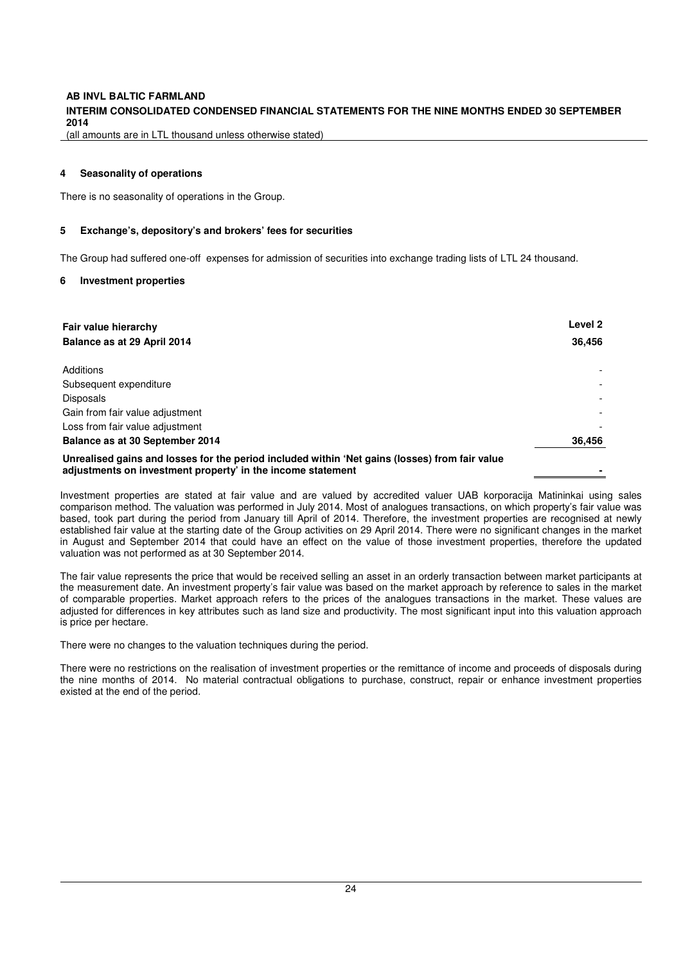# **INTERIM CONSOLIDATED CONDENSED FINANCIAL STATEMENTS FOR THE NINE MONTHS ENDED 30 SEPTEMBER 2014**

(all amounts are in LTL thousand unless otherwise stated)

#### **4 Seasonality of operations**

There is no seasonality of operations in the Group.

#### **5 Exchange's, depository's and brokers' fees for securities**

The Group had suffered one-off expenses for admission of securities into exchange trading lists of LTL 24 thousand.

# **6 Investment properties**

| Fair value hierarchy                                                                                                                                          | Level 2 |
|---------------------------------------------------------------------------------------------------------------------------------------------------------------|---------|
| Balance as at 29 April 2014                                                                                                                                   | 36,456  |
| Additions                                                                                                                                                     |         |
| Subsequent expenditure                                                                                                                                        |         |
| Disposals                                                                                                                                                     |         |
| Gain from fair value adjustment                                                                                                                               |         |
| Loss from fair value adjustment                                                                                                                               |         |
| Balance as at 30 September 2014                                                                                                                               | 36,456  |
| Unrealised gains and losses for the period included within 'Net gains (losses) from fair value<br>adjustments on investment property' in the income statement |         |

Investment properties are stated at fair value and are valued by accredited valuer UAB korporacija Matininkai using sales comparison method. The valuation was performed in July 2014. Most of analogues transactions, on which property's fair value was based, took part during the period from January till April of 2014. Therefore, the investment properties are recognised at newly established fair value at the starting date of the Group activities on 29 April 2014. There were no significant changes in the market in August and September 2014 that could have an effect on the value of those investment properties, therefore the updated valuation was not performed as at 30 September 2014.

The fair value represents the price that would be received selling an asset in an orderly transaction between market participants at the measurement date. An investment property's fair value was based on the market approach by reference to sales in the market of comparable properties. Market approach refers to the prices of the analogues transactions in the market. These values are adjusted for differences in key attributes such as land size and productivity. The most significant input into this valuation approach is price per hectare.

There were no changes to the valuation techniques during the period.

There were no restrictions on the realisation of investment properties or the remittance of income and proceeds of disposals during the nine months of 2014. No material contractual obligations to purchase, construct, repair or enhance investment properties existed at the end of the period.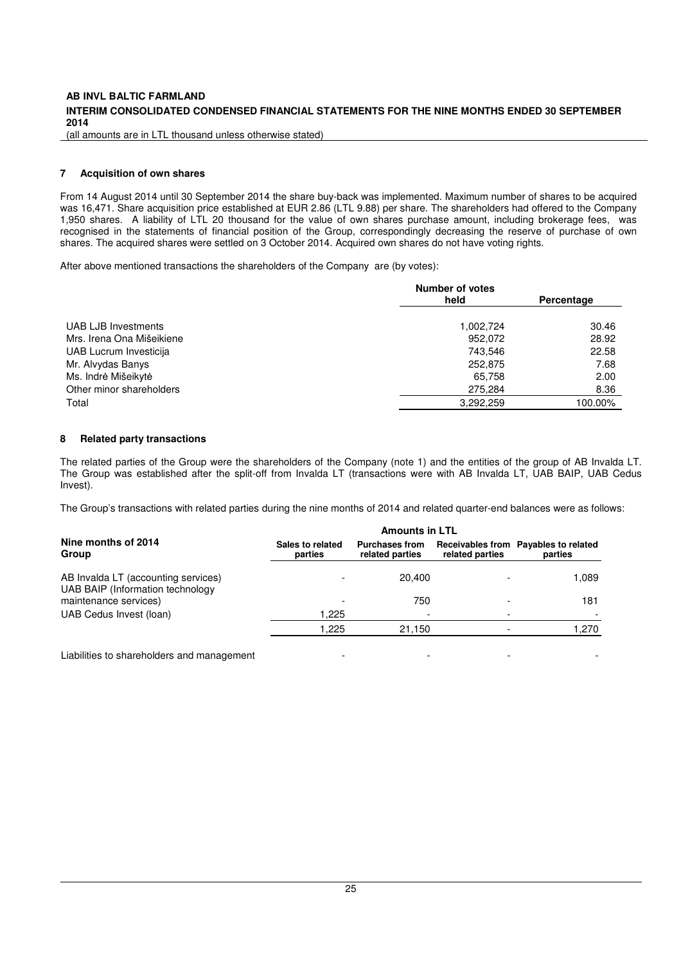# **INTERIM CONSOLIDATED CONDENSED FINANCIAL STATEMENTS FOR THE NINE MONTHS ENDED 30 SEPTEMBER 2014**

(all amounts are in LTL thousand unless otherwise stated)

#### **7 Acquisition of own shares**

From 14 August 2014 until 30 September 2014 the share buy-back was implemented. Maximum number of shares to be acquired was 16,471. Share acquisition price established at EUR 2.86 (LTL 9.88) per share. The shareholders had offered to the Company 1,950 shares. A liability of LTL 20 thousand for the value of own shares purchase amount, including brokerage fees, was recognised in the statements of financial position of the Group, correspondingly decreasing the reserve of purchase of own shares. The acquired shares were settled on 3 October 2014. Acquired own shares do not have voting rights.

After above mentioned transactions the shareholders of the Company are (by votes):

|                           | <b>Number of votes</b> |            |
|---------------------------|------------------------|------------|
|                           | held                   | Percentage |
|                           |                        |            |
| UAB LJB Investments       | 1,002,724              | 30.46      |
| Mrs. Irena Ona Mišeikiene | 952,072                | 28.92      |
| UAB Lucrum Investicija    | 743,546                | 22.58      |
| Mr. Alvydas Banys         | 252,875                | 7.68       |
| Ms. Indrė Mišeikytė       | 65,758                 | 2.00       |
| Other minor shareholders  | 275,284                | 8.36       |
| Total                     | 3,292,259              | 100.00%    |

#### **8 Related party transactions**

The related parties of the Group were the shareholders of the Company (note 1) and the entities of the group of AB Invalda LT. The Group was established after the split-off from Invalda LT (transactions were with AB Invalda LT, UAB BAIP, UAB Cedus Invest).

The Group's transactions with related parties during the nine months of 2014 and related quarter-end balances were as follows:

|                                                                                                                                                                                                                                | <b>Amounts in LTL</b>       |                                          |                 |                                                 |  |  |
|--------------------------------------------------------------------------------------------------------------------------------------------------------------------------------------------------------------------------------|-----------------------------|------------------------------------------|-----------------|-------------------------------------------------|--|--|
| Nine months of 2014<br>Group                                                                                                                                                                                                   | Sales to related<br>parties | <b>Purchases from</b><br>related parties | related parties | Receivables from Payables to related<br>parties |  |  |
| AB Invalda LT (accounting services)<br>UAB BAIP (Information technology                                                                                                                                                        |                             | 20.400                                   |                 | 1,089                                           |  |  |
| maintenance services)                                                                                                                                                                                                          |                             | 750                                      |                 | 181                                             |  |  |
| UAB Cedus Invest (Ioan)                                                                                                                                                                                                        | 1.225                       |                                          |                 |                                                 |  |  |
|                                                                                                                                                                                                                                | 1.225                       | 21,150                                   |                 | 1,270                                           |  |  |
| The South State of the Law and the Latin and the contract of the contract of the state of the state of the state of the state of the state of the state of the state of the state of the state of the state of the state of th |                             |                                          |                 |                                                 |  |  |

Liabilities to shareholders and management